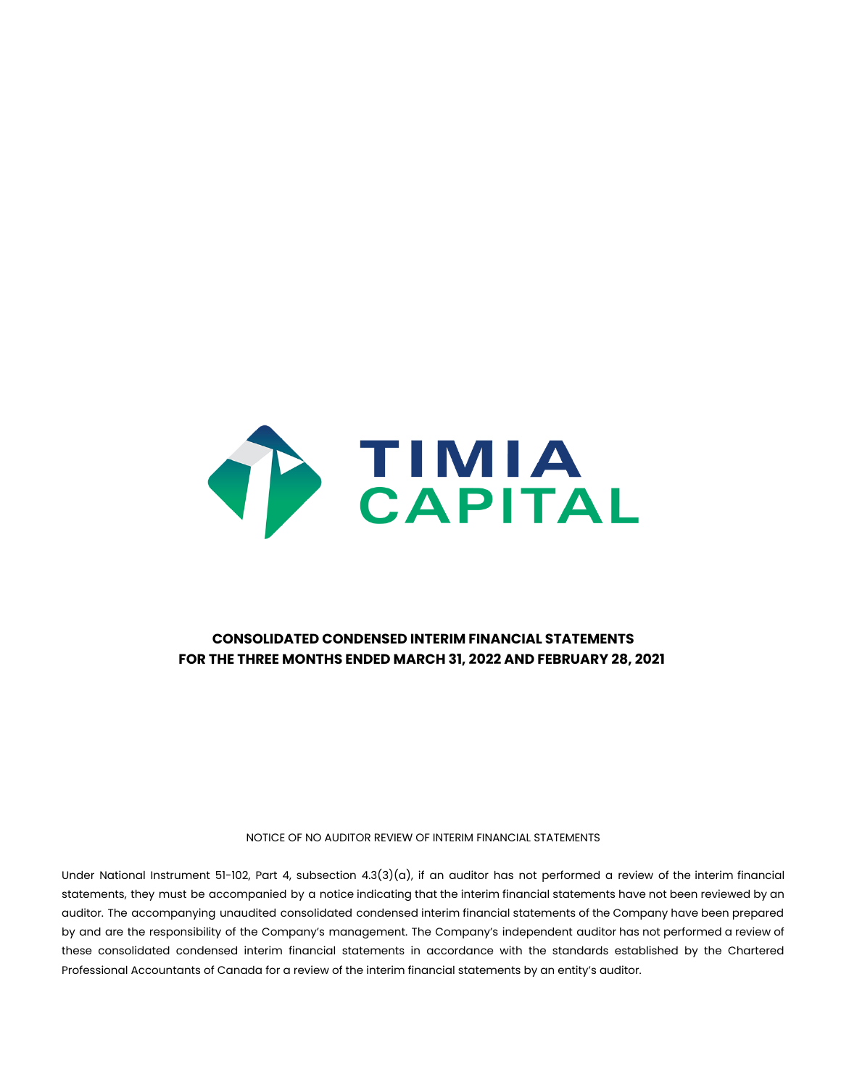

## **CONSOLIDATED CONDENSED INTERIM FINANCIAL STATEMENTS FOR THE THREE MONTHS ENDED MARCH 31, 2022 AND FEBRUARY 28, 2021**

NOTICE OF NO AUDITOR REVIEW OF INTERIM FINANCIAL STATEMENTS

Under National Instrument 51-102, Part 4, subsection  $4.3(3)(a)$ , if an auditor has not performed a review of the interim financial statements, they must be accompanied by a notice indicating that the interim financial statements have not been reviewed by an auditor. The accompanying unaudited consolidated condensed interim financial statements of the Company have been prepared by and are the responsibility of the Company's management. The Company's independent auditor has not performed a review of these consolidated condensed interim financial statements in accordance with the standards established by the Chartered Professional Accountants of Canada for a review of the interim financial statements by an entity's auditor.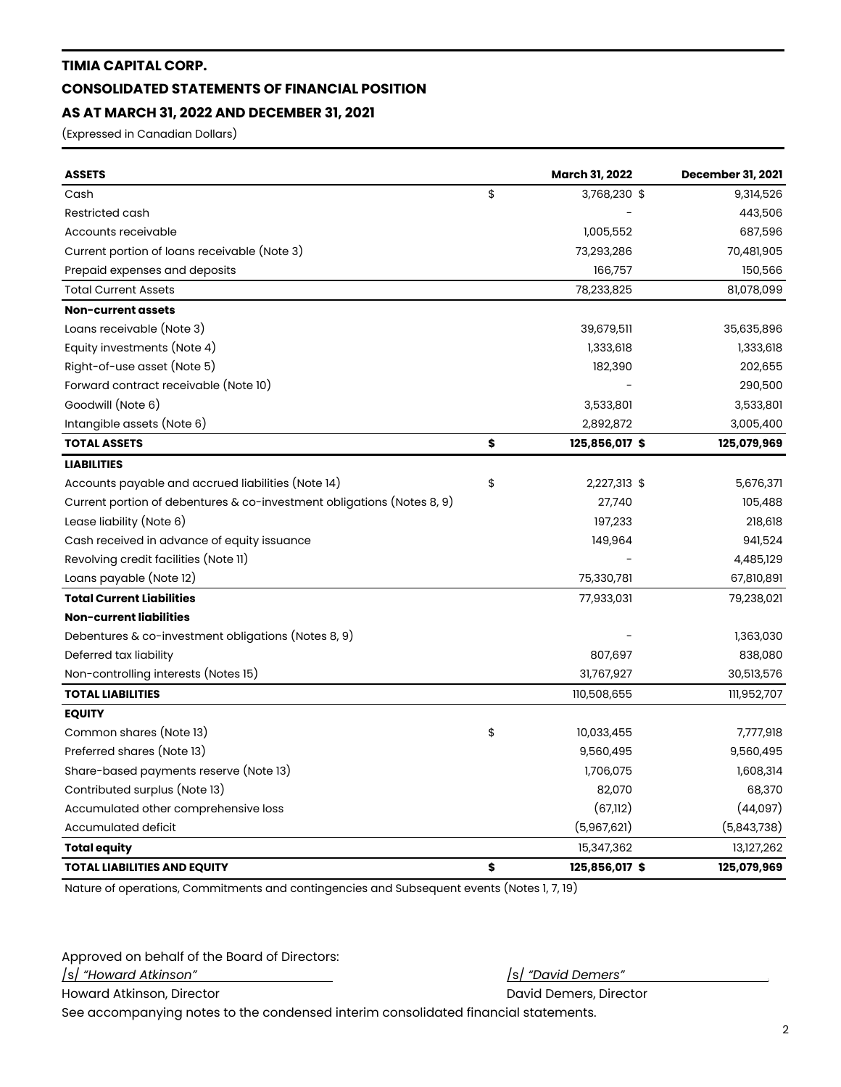### **TIMIA CAPITAL CORP.**

## **CONSOLIDATED STATEMENTS OF FINANCIAL POSITION**

## **AS AT MARCH 31, 2022 AND DECEMBER 31, 2021**

(Expressed in Canadian Dollars)

| <b>ASSETS</b>                                                          | <b>March 31, 2022</b> | <b>December 31, 2021</b> |
|------------------------------------------------------------------------|-----------------------|--------------------------|
| Cash                                                                   | \$<br>3,768,230 \$    | 9,314,526                |
| Restricted cash                                                        |                       | 443,506                  |
| Accounts receivable                                                    | 1,005,552             | 687,596                  |
| Current portion of loans receivable (Note 3)                           | 73,293,286            | 70,481,905               |
| Prepaid expenses and deposits                                          | 166,757               | 150,566                  |
| <b>Total Current Assets</b>                                            | 78,233,825            | 81,078,099               |
| Non-current assets                                                     |                       |                          |
| Loans receivable (Note 3)                                              | 39,679,511            | 35,635,896               |
| Equity investments (Note 4)                                            | 1,333,618             | 1,333,618                |
| Right-of-use asset (Note 5)                                            | 182,390               | 202,655                  |
| Forward contract receivable (Note 10)                                  |                       | 290,500                  |
| Goodwill (Note 6)                                                      | 3,533,801             | 3,533,801                |
| Intangible assets (Note 6)                                             | 2,892,872             | 3,005,400                |
| <b>TOTAL ASSETS</b>                                                    | \$<br>125,856,017 \$  | 125,079,969              |
| <b>LIABILITIES</b>                                                     |                       |                          |
| Accounts payable and accrued liabilities (Note 14)                     | \$<br>2,227,313 \$    | 5,676,371                |
| Current portion of debentures & co-investment obligations (Notes 8, 9) | 27,740                | 105,488                  |
| Lease liability (Note 6)                                               | 197,233               | 218,618                  |
| Cash received in advance of equity issuance                            | 149,964               | 941,524                  |
| Revolving credit facilities (Note 11)                                  |                       | 4,485,129                |
| Loans payable (Note 12)                                                | 75,330,781            | 67,810,891               |
| <b>Total Current Liabilities</b>                                       | 77,933,031            | 79,238,021               |
| Non-current liabilities                                                |                       |                          |
| Debentures & co-investment obligations (Notes 8, 9)                    |                       | 1,363,030                |
| Deferred tax liability                                                 | 807,697               | 838,080                  |
| Non-controlling interests (Notes 15)                                   | 31,767,927            | 30,513,576               |
| <b>TOTAL LIABILITIES</b>                                               | 110,508,655           | 111,952,707              |
| <b>EQUITY</b>                                                          |                       |                          |
| Common shares (Note 13)                                                | \$<br>10,033,455      | 7,777,918                |
| Preferred shares (Note 13)                                             | 9,560,495             | 9,560,495                |
| Share-based payments reserve (Note 13)                                 | 1,706,075             | 1,608,314                |
| Contributed surplus (Note 13)                                          | 82,070                | 68,370                   |
| Accumulated other comprehensive loss                                   | (67, 112)             | (44,097)                 |
| Accumulated deficit                                                    | (5,967,621)           | (5,843,738)              |
| <b>Total equity</b>                                                    | 15,347,362            | 13,127,262               |
| <b>TOTAL LIABILITIES AND EQUITY</b>                                    | \$<br>125,856,017 \$  | 125,079,969              |

Nature of operations, Commitments and contingencies and Subsequent events (Notes 1, 7, 19)

Approved on behalf of the Board of Directors:

/s/ *"Howard Atkinson"* /s/ *"David Demers" .*

Howard Atkinson, Director **David Demers, Director** David Demers, Director

See accompanying notes to the condensed interim consolidated financial statements.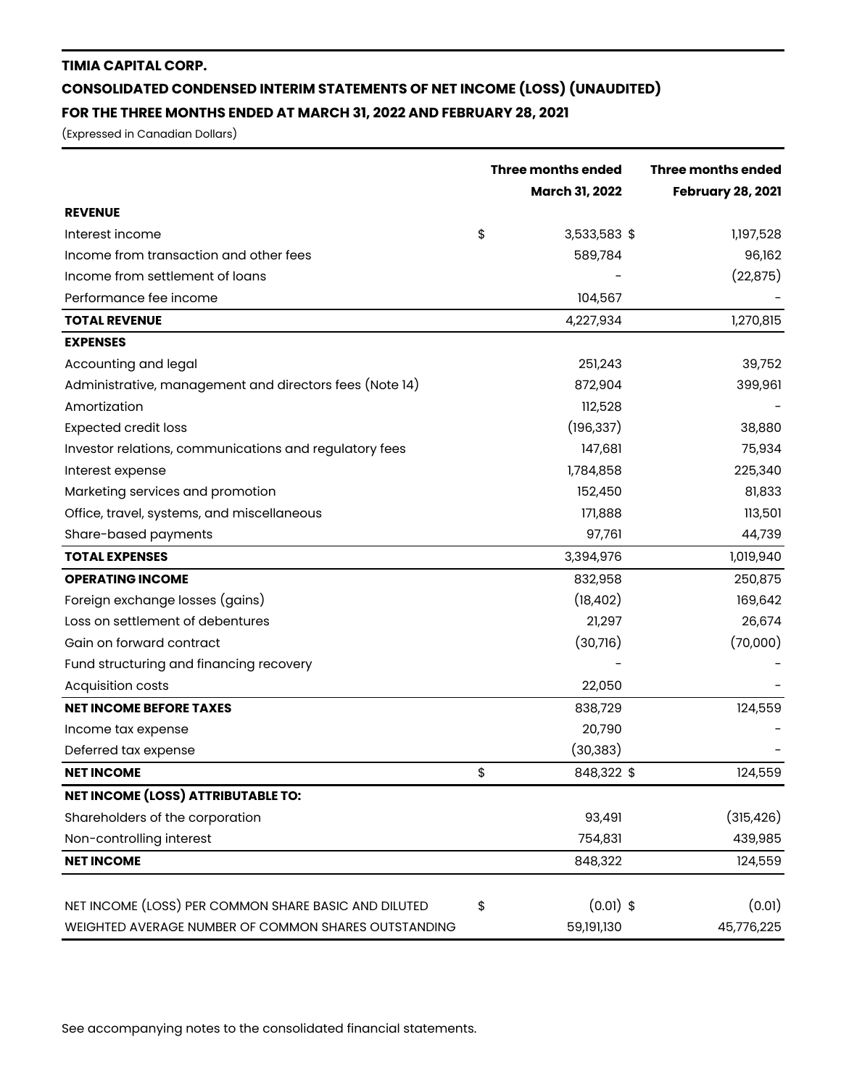# **TIMIA CAPITAL CORP. CONSOLIDATED CONDENSED INTERIM STATEMENTS OF NET INCOME (LOSS) (UNAUDITED) FOR THE THREE MONTHS ENDED AT MARCH 31, 2022 AND FEBRUARY 28, 2021**

(Expressed in Canadian Dollars)

|                                                         | <b>Three months ended</b> | <b>Three months ended</b> |
|---------------------------------------------------------|---------------------------|---------------------------|
|                                                         | <b>March 31, 2022</b>     | <b>February 28, 2021</b>  |
| <b>REVENUE</b>                                          |                           |                           |
| Interest income                                         | \$<br>3,533,583 \$        | 1,197,528                 |
| Income from transaction and other fees                  | 589,784                   | 96,162                    |
| Income from settlement of loans                         |                           | (22, 875)                 |
| Performance fee income                                  | 104,567                   |                           |
| <b>TOTAL REVENUE</b>                                    | 4,227,934                 | 1,270,815                 |
| <b>EXPENSES</b>                                         |                           |                           |
| Accounting and legal                                    | 251,243                   | 39,752                    |
| Administrative, management and directors fees (Note 14) | 872,904                   | 399,961                   |
| Amortization                                            | 112,528                   |                           |
| <b>Expected credit loss</b>                             | (196, 337)                | 38,880                    |
| Investor relations, communications and regulatory fees  | 147,681                   | 75,934                    |
| Interest expense                                        | 1,784,858                 | 225,340                   |
| Marketing services and promotion                        | 152,450                   | 81,833                    |
| Office, travel, systems, and miscellaneous              | 171,888                   | 113,501                   |
| Share-based payments                                    | 97,761                    | 44,739                    |
| <b>TOTAL EXPENSES</b>                                   | 3,394,976                 | 1,019,940                 |
| <b>OPERATING INCOME</b>                                 | 832,958                   | 250,875                   |
| Foreign exchange losses (gains)                         | (18, 402)                 | 169,642                   |
| Loss on settlement of debentures                        | 21,297                    | 26,674                    |
| Gain on forward contract                                | (30,716)                  | (70,000)                  |
| Fund structuring and financing recovery                 |                           |                           |
| Acquisition costs                                       | 22,050                    |                           |
| <b>NET INCOME BEFORE TAXES</b>                          | 838,729                   | 124,559                   |
| Income tax expense                                      | 20,790                    |                           |
| Deferred tax expense                                    | (30, 383)                 |                           |
| <b>NET INCOME</b>                                       | \$<br>848,322 \$          | 124,559                   |
| <b>NET INCOME (LOSS) ATTRIBUTABLE TO:</b>               |                           |                           |
| Shareholders of the corporation                         | 93,491                    | (315, 426)                |
| Non-controlling interest                                | 754,831                   | 439,985                   |
| <b>NET INCOME</b>                                       | 848,322                   | 124,559                   |
| NET INCOME (LOSS) PER COMMON SHARE BASIC AND DILUTED    | $(0.01)$ \$<br>\$         | (0.01)                    |
| WEIGHTED AVERAGE NUMBER OF COMMON SHARES OUTSTANDING    | 59,191,130                | 45,776,225                |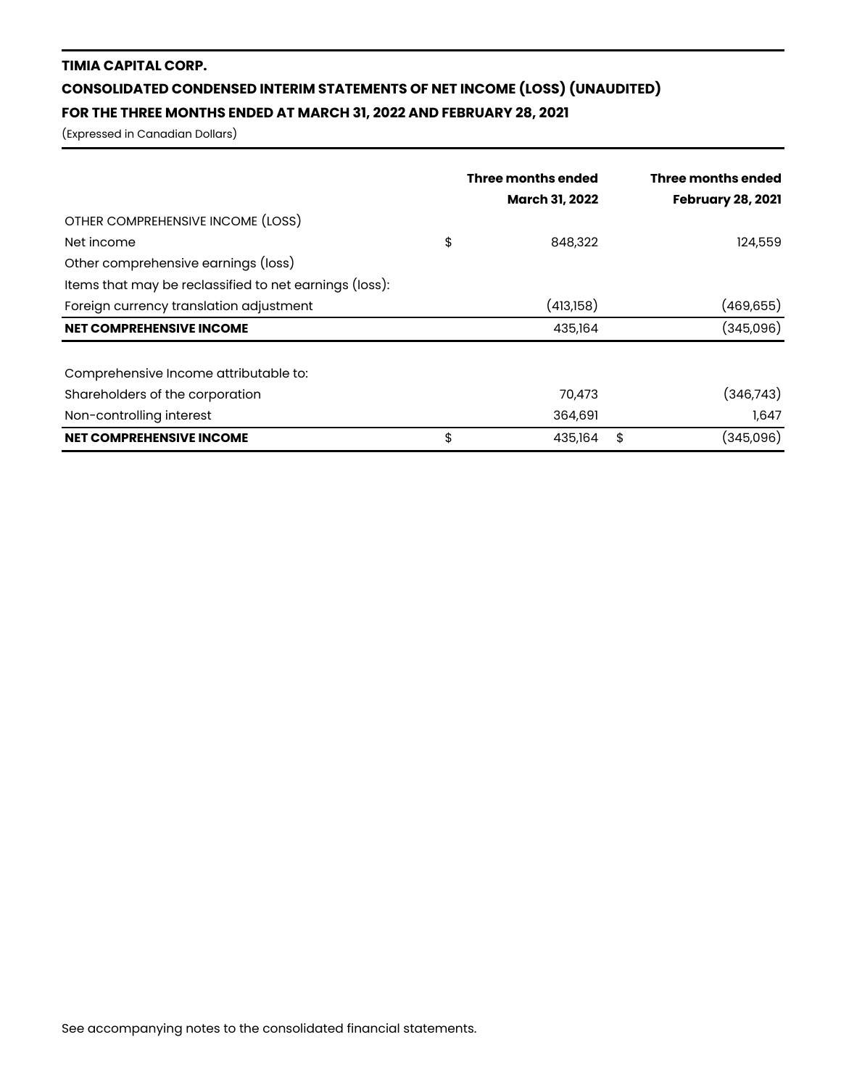# **TIMIA CAPITAL CORP. CONSOLIDATED CONDENSED INTERIM STATEMENTS OF NET INCOME (LOSS) (UNAUDITED) FOR THE THREE MONTHS ENDED AT MARCH 31, 2022 AND FEBRUARY 28, 2021**

(Expressed in Canadian Dollars)

|                                                        | Three months ended<br><b>March 31, 2022</b> | Three months ended<br><b>February 28, 2021</b> |
|--------------------------------------------------------|---------------------------------------------|------------------------------------------------|
| OTHER COMPREHENSIVE INCOME (LOSS)                      |                                             |                                                |
| Net income                                             | \$<br>848,322                               | 124,559                                        |
| Other comprehensive earnings (loss)                    |                                             |                                                |
| Items that may be reclassified to net earnings (loss): |                                             |                                                |
| Foreign currency translation adjustment                | (413,158)                                   | (469,655)                                      |
| <b>NET COMPREHENSIVE INCOME</b>                        | 435,164                                     | (345,096)                                      |
| Comprehensive Income attributable to:                  |                                             |                                                |
| Shareholders of the corporation                        | 70,473                                      | (346,743)                                      |
| Non-controlling interest                               | 364,691                                     | 1,647                                          |
| <b>NET COMPREHENSIVE INCOME</b>                        | \$<br>435,164                               | \$<br>(345,096)                                |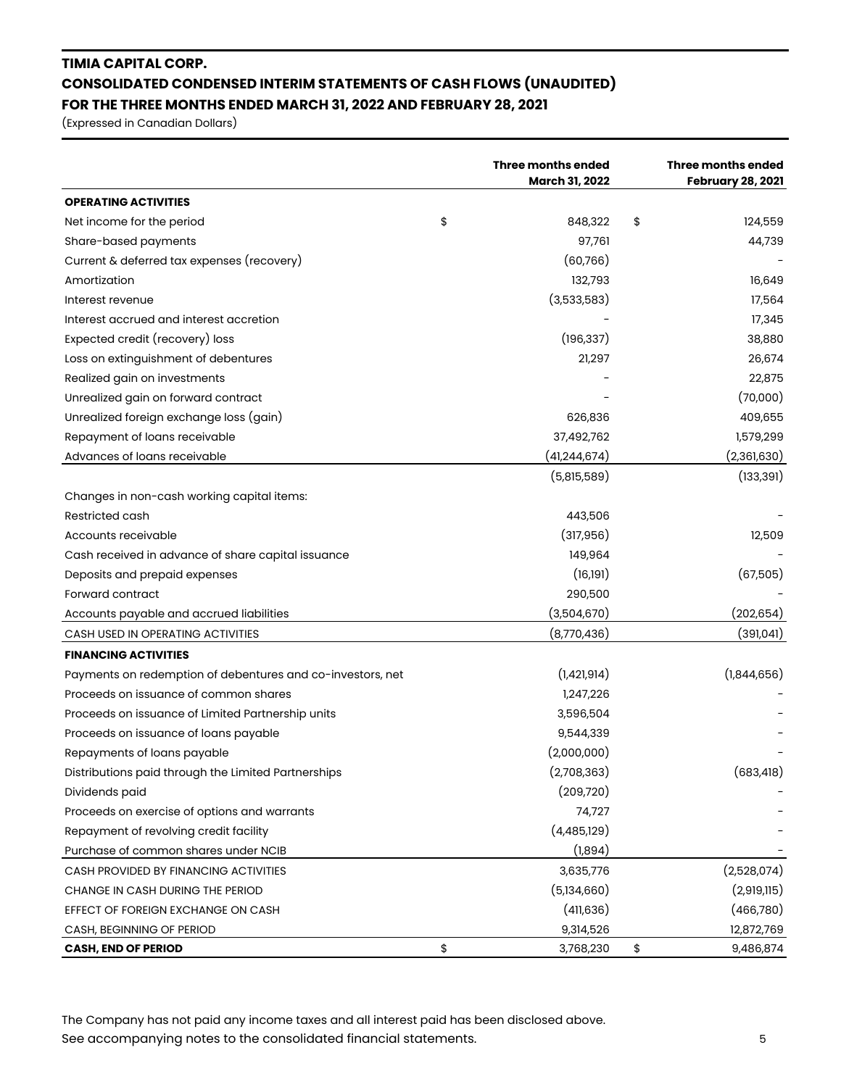# **TIMIA CAPITAL CORP. CONSOLIDATED CONDENSED INTERIM STATEMENTS OF CASH FLOWS (UNAUDITED) FOR THE THREE MONTHS ENDED MARCH 31, 2022 AND FEBRUARY 28, 2021**

(Expressed in Canadian Dollars)

|                                                            | Three months ended<br><b>March 31, 2022</b> | <b>Three months ended</b><br><b>February 28, 2021</b> |
|------------------------------------------------------------|---------------------------------------------|-------------------------------------------------------|
| <b>OPERATING ACTIVITIES</b>                                |                                             |                                                       |
| Net income for the period                                  | \$<br>848,322                               | \$<br>124,559                                         |
| Share-based payments                                       | 97,761                                      | 44,739                                                |
| Current & deferred tax expenses (recovery)                 | (60,766)                                    |                                                       |
| Amortization                                               | 132,793                                     | 16,649                                                |
| Interest revenue                                           | (3,533,583)                                 | 17,564                                                |
| Interest accrued and interest accretion                    |                                             | 17,345                                                |
| Expected credit (recovery) loss                            | (196, 337)                                  | 38,880                                                |
| Loss on extinguishment of debentures                       | 21,297                                      | 26,674                                                |
| Realized gain on investments                               |                                             | 22,875                                                |
| Unrealized gain on forward contract                        |                                             | (70,000)                                              |
| Unrealized foreign exchange loss (gain)                    | 626,836                                     | 409,655                                               |
| Repayment of loans receivable                              | 37,492,762                                  | 1,579,299                                             |
| Advances of loans receivable                               | (41,244,674)                                | (2,361,630)                                           |
|                                                            | (5,815,589)                                 | (133, 391)                                            |
| Changes in non-cash working capital items:                 |                                             |                                                       |
| Restricted cash                                            | 443,506                                     |                                                       |
| Accounts receivable                                        | (317, 956)                                  | 12,509                                                |
| Cash received in advance of share capital issuance         | 149,964                                     |                                                       |
| Deposits and prepaid expenses                              | (16, 191)                                   | (67,505)                                              |
| Forward contract                                           | 290,500                                     |                                                       |
| Accounts payable and accrued liabilities                   | (3,504,670)                                 | (202,654)                                             |
| CASH USED IN OPERATING ACTIVITIES                          | (8,770,436)                                 | (391,041)                                             |
| <b>FINANCING ACTIVITIES</b>                                |                                             |                                                       |
| Payments on redemption of debentures and co-investors, net | (1,421,914)                                 | (1,844,656)                                           |
| Proceeds on issuance of common shares                      | 1,247,226                                   |                                                       |
| Proceeds on issuance of Limited Partnership units          | 3,596,504                                   |                                                       |
| Proceeds on issuance of loans payable                      | 9,544,339                                   |                                                       |
| Repayments of loans payable                                | (2,000,000)                                 |                                                       |
| Distributions paid through the Limited Partnerships        | (2,708,363)                                 | (683, 418)                                            |
| Dividends paid                                             | (209, 720)                                  |                                                       |
| Proceeds on exercise of options and warrants               | 74,727                                      |                                                       |
| Repayment of revolving credit facility                     | (4,485,129)                                 |                                                       |
| Purchase of common shares under NCIB                       | (1,894)                                     |                                                       |
| CASH PROVIDED BY FINANCING ACTIVITIES                      | 3,635,776                                   | (2,528,074)                                           |
| CHANGE IN CASH DURING THE PERIOD                           | (5,134,660)                                 | (2,919,115)                                           |
| EFFECT OF FOREIGN EXCHANGE ON CASH                         | (41, 636)                                   | (466,780)                                             |
| CASH, BEGINNING OF PERIOD                                  | 9,314,526                                   | 12,872,769                                            |
| <b>CASH, END OF PERIOD</b>                                 | \$<br>3,768,230                             | \$<br>9,486,874                                       |

The Company has not paid any income taxes and all interest paid has been disclosed above. See accompanying notes to the consolidated financial statements. 5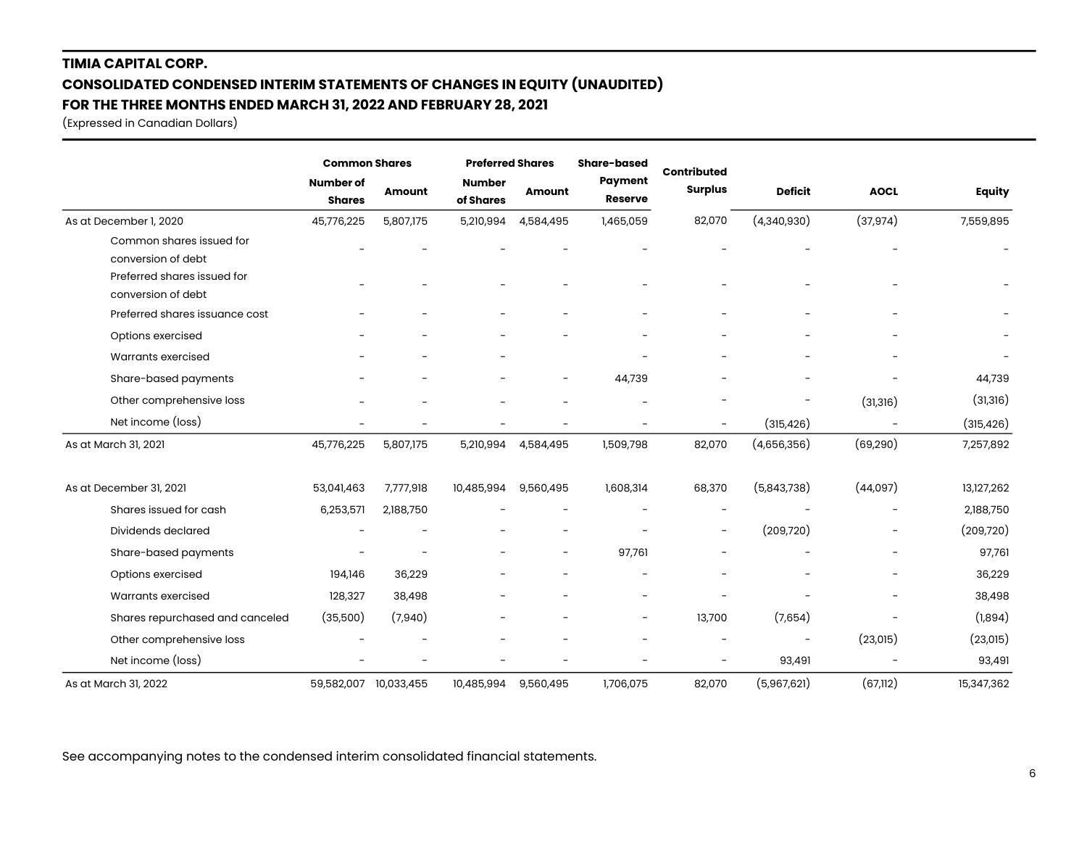# **TIMIA CAPITAL CORP. CONSOLIDATED CONDENSED INTERIM STATEMENTS OF CHANGES IN EQUITY (UNAUDITED) FOR THE THREE MONTHS ENDED MARCH 31, 2022 AND FEBRUARY 28, 2021**

(Expressed in Canadian Dollars)

|                                                | <b>Common Shares</b>              |                          | <b>Preferred Shares</b>    |                          | Share-based              |                                      |                          |             |               |
|------------------------------------------------|-----------------------------------|--------------------------|----------------------------|--------------------------|--------------------------|--------------------------------------|--------------------------|-------------|---------------|
|                                                | <b>Number of</b><br><b>Shares</b> | <b>Amount</b>            | <b>Number</b><br>of Shares | <b>Amount</b>            | Payment<br>Reserve       | <b>Contributed</b><br><b>Surplus</b> | <b>Deficit</b>           | <b>AOCL</b> | <b>Equity</b> |
| As at December 1, 2020                         | 45,776,225                        | 5,807,175                | 5,210,994                  | 4,584,495                | 1,465,059                | 82,070                               | (4,340,930)              | (37, 974)   | 7,559,895     |
| Common shares issued for<br>conversion of debt |                                   |                          |                            |                          |                          |                                      |                          |             |               |
| Preferred shares issued for                    |                                   |                          |                            |                          |                          |                                      |                          |             |               |
| conversion of debt                             |                                   |                          |                            |                          |                          |                                      |                          |             |               |
| Preferred shares issuance cost                 |                                   |                          |                            |                          |                          |                                      |                          |             |               |
| Options exercised                              |                                   |                          |                            |                          |                          |                                      |                          |             |               |
| Warrants exercised                             |                                   |                          |                            |                          |                          |                                      |                          |             |               |
| Share-based payments                           |                                   |                          |                            | $\overline{\phantom{0}}$ | 44,739                   |                                      |                          |             | 44,739        |
| Other comprehensive loss                       |                                   |                          |                            | $\overline{\phantom{0}}$ |                          |                                      | $\overline{\phantom{a}}$ | (31, 316)   | (31, 316)     |
| Net income (loss)                              |                                   | $\overline{\phantom{0}}$ |                            |                          |                          |                                      | (315, 426)               |             | (315, 426)    |
| As at March 31, 2021                           | 45,776,225                        | 5,807,175                | 5,210,994                  | 4,584,495                | 1,509,798                | 82,070                               | (4,656,356)              | (69, 290)   | 7,257,892     |
| As at December 31, 2021                        | 53,041,463                        | 7,777,918                | 10,485,994                 | 9,560,495                | 1,608,314                | 68,370                               | (5,843,738)              | (44,097)    | 13,127,262    |
| Shares issued for cash                         | 6,253,571                         | 2,188,750                |                            |                          |                          | $\overline{\phantom{a}}$             |                          |             | 2,188,750     |
| Dividends declared                             |                                   | $\overline{\phantom{0}}$ |                            | $\overline{\phantom{a}}$ |                          | $\overline{\phantom{a}}$             | (209, 720)               |             | (209, 720)    |
| Share-based payments                           |                                   |                          |                            | $\overline{\phantom{a}}$ | 97,761                   |                                      |                          |             | 97,761        |
| Options exercised                              | 194,146                           | 36,229                   |                            | $\qquad \qquad -$        |                          |                                      |                          |             | 36,229        |
| Warrants exercised                             | 128,327                           | 38,498                   |                            |                          |                          |                                      |                          |             | 38,498        |
| Shares repurchased and canceled                | (35,500)                          | (7,940)                  |                            |                          | $\overline{\phantom{a}}$ | 13,700                               | (7,654)                  |             | (1,894)       |
| Other comprehensive loss                       |                                   |                          |                            |                          |                          |                                      |                          | (23,015)    | (23, 015)     |
| Net income (loss)                              |                                   | $\overline{\phantom{0}}$ |                            |                          |                          |                                      | 93,491                   |             | 93,491        |
| As at March 31, 2022                           | 59,582,007                        | 10,033,455               | 10,485,994                 | 9,560,495                | 1,706,075                | 82,070                               | (5,967,621)              | (67, 112)   | 15,347,362    |

See accompanying notes to the condensed interim consolidated financial statements.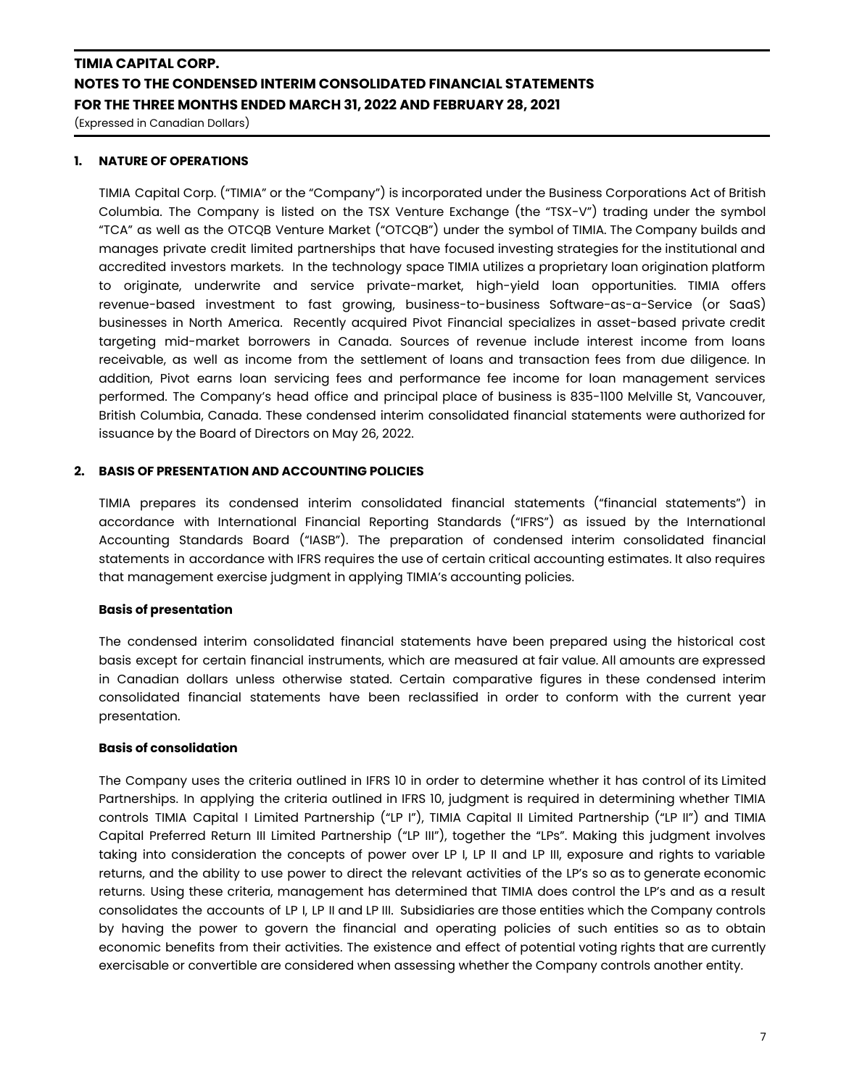(Expressed in Canadian Dollars)

### **1. NATURE OF OPERATIONS**

TIMIA Capital Corp. ("TIMIA" or the "Company") is incorporated under the Business Corporations Act of British Columbia. The Company is listed on the TSX Venture Exchange (the "TSX-V") trading under the symbol "TCA" as well as the OTCQB Venture Market ("OTCQB") under the symbol of TIMIA. The Company builds and manages private credit limited partnerships that have focused investing strategies for the institutional and accredited investors markets. In the technology space TIMIA utilizes a proprietary loan origination platform to originate, underwrite and service private-market, high-yield loan opportunities. TIMIA offers revenue-based investment to fast growing, business-to-business Software-as-a-Service (or SaaS) businesses in North America. Recently acquired Pivot Financial specializes in asset-based private credit targeting mid-market borrowers in Canada. Sources of revenue include interest income from loans receivable, as well as income from the settlement of loans and transaction fees from due diligence. In addition, Pivot earns loan servicing fees and performance fee income for loan management services performed. The Company's head office and principal place of business is 835-1100 Melville St, Vancouver, British Columbia, Canada. These condensed interim consolidated financial statements were authorized for issuance by the Board of Directors on May 26, 2022.

### **2. BASIS OF PRESENTATION AND ACCOUNTING POLICIES**

TIMIA prepares its condensed interim consolidated financial statements ("financial statements") in accordance with International Financial Reporting Standards ("IFRS") as issued by the International Accounting Standards Board ("IASB"). The preparation of condensed interim consolidated financial statements in accordance with IFRS requires the use of certain critical accounting estimates. It also requires that management exercise judgment in applying TIMIA's accounting policies.

### **Basis of presentation**

The condensed interim consolidated financial statements have been prepared using the historical cost basis except for certain financial instruments, which are measured at fair value. All amounts are expressed in Canadian dollars unless otherwise stated. Certain comparative figures in these condensed interim consolidated financial statements have been reclassified in order to conform with the current year presentation.

### **Basis of consolidation**

The Company uses the criteria outlined in IFRS 10 in order to determine whether it has control of its Limited Partnerships. In applying the criteria outlined in IFRS 10, judgment is required in determining whether TIMIA controls TIMIA Capital I Limited Partnership ("LP I"), TIMIA Capital II Limited Partnership ("LP II") and TIMIA Capital Preferred Return III Limited Partnership ("LP III"), together the "LPs". Making this judgment involves taking into consideration the concepts of power over LP I, LP II and LP III, exposure and rights to variable returns, and the ability to use power to direct the relevant activities of the LP's so as to generate economic returns. Using these criteria, management has determined that TIMIA does control the LP's and as a result consolidates the accounts of LP I, LP II and LP III. Subsidiaries are those entities which the Company controls by having the power to govern the financial and operating policies of such entities so as to obtain economic benefits from their activities. The existence and effect of potential voting rights that are currently exercisable or convertible are considered when assessing whether the Company controls another entity.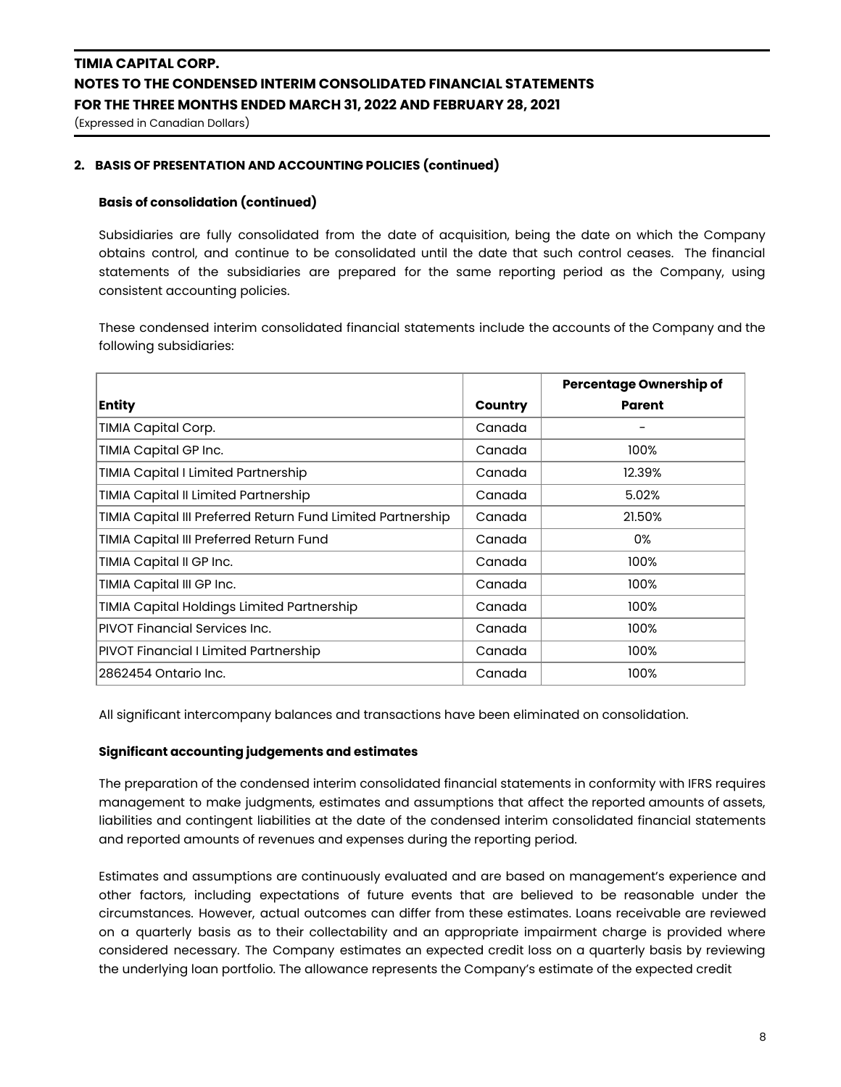(Expressed in Canadian Dollars)

### **2. BASIS OF PRESENTATION AND ACCOUNTING POLICIES (continued)**

### **Basis of consolidation (continued)**

Subsidiaries are fully consolidated from the date of acquisition, being the date on which the Company obtains control, and continue to be consolidated until the date that such control ceases. The financial statements of the subsidiaries are prepared for the same reporting period as the Company, using consistent accounting policies.

These condensed interim consolidated financial statements include the accounts of the Company and the following subsidiaries:

|                                                             |         | <b>Percentage Ownership of</b> |
|-------------------------------------------------------------|---------|--------------------------------|
| <b>Entity</b>                                               | Country | Parent                         |
| TIMIA Capital Corp.                                         | Canada  |                                |
| TIMIA Capital GP Inc.                                       | Canada  | 100%                           |
| <b>TIMIA Capital I Limited Partnership</b>                  | Canada  | 12.39%                         |
| TIMIA Capital II Limited Partnership                        | Canada  | 5.02%                          |
| TIMIA Capital III Preferred Return Fund Limited Partnership | Canada  | 21.50%                         |
| TIMIA Capital III Preferred Return Fund                     | Canada  | 0%                             |
| TIMIA Capital II GP Inc.                                    | Canada  | 100%                           |
| TIMIA Capital III GP Inc.                                   | Canada  | 100%                           |
| TIMIA Capital Holdings Limited Partnership                  | Canada  | 100%                           |
| <b>PIVOT Financial Services Inc.</b>                        | Canada  | 100%                           |
| <b>PIVOT Financial I Limited Partnership</b>                | Canada  | 100%                           |
| 2862454 Ontario Inc.                                        | Canada  | 100%                           |

All significant intercompany balances and transactions have been eliminated on consolidation.

#### **Significant accounting judgements and estimates**

The preparation of the condensed interim consolidated financial statements in conformity with IFRS requires management to make judgments, estimates and assumptions that affect the reported amounts of assets, liabilities and contingent liabilities at the date of the condensed interim consolidated financial statements and reported amounts of revenues and expenses during the reporting period.

Estimates and assumptions are continuously evaluated and are based on management's experience and other factors, including expectations of future events that are believed to be reasonable under the circumstances. However, actual outcomes can differ from these estimates. Loans receivable are reviewed on a quarterly basis as to their collectability and an appropriate impairment charge is provided where considered necessary. The Company estimates an expected credit loss on a quarterly basis by reviewing the underlying loan portfolio. The allowance represents the Company's estimate of the expected credit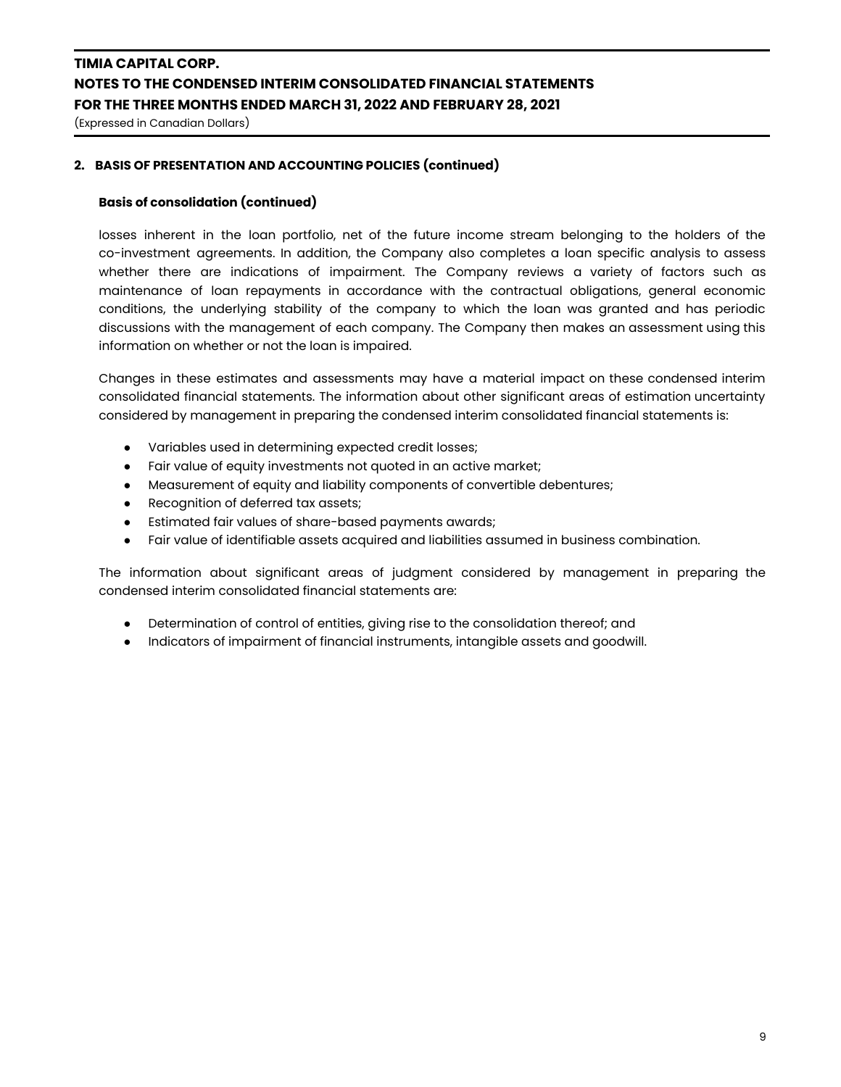(Expressed in Canadian Dollars)

### **2. BASIS OF PRESENTATION AND ACCOUNTING POLICIES (continued)**

### **Basis of consolidation (continued)**

losses inherent in the loan portfolio, net of the future income stream belonging to the holders of the co-investment agreements. In addition, the Company also completes a loan specific analysis to assess whether there are indications of impairment. The Company reviews a variety of factors such as maintenance of loan repayments in accordance with the contractual obligations, general economic conditions, the underlying stability of the company to which the loan was granted and has periodic discussions with the management of each company. The Company then makes an assessment using this information on whether or not the loan is impaired.

Changes in these estimates and assessments may have a material impact on these condensed interim consolidated financial statements. The information about other significant areas of estimation uncertainty considered by management in preparing the condensed interim consolidated financial statements is:

- Variables used in determining expected credit losses;
- Fair value of equity investments not quoted in an active market;
- Measurement of equity and liability components of convertible debentures;
- Recognition of deferred tax assets;
- Estimated fair values of share-based payments awards;
- Fair value of identifiable assets acquired and liabilities assumed in business combination.

The information about significant areas of judgment considered by management in preparing the condensed interim consolidated financial statements are:

- Determination of control of entities, giving rise to the consolidation thereof; and
- Indicators of impairment of financial instruments, intangible assets and goodwill.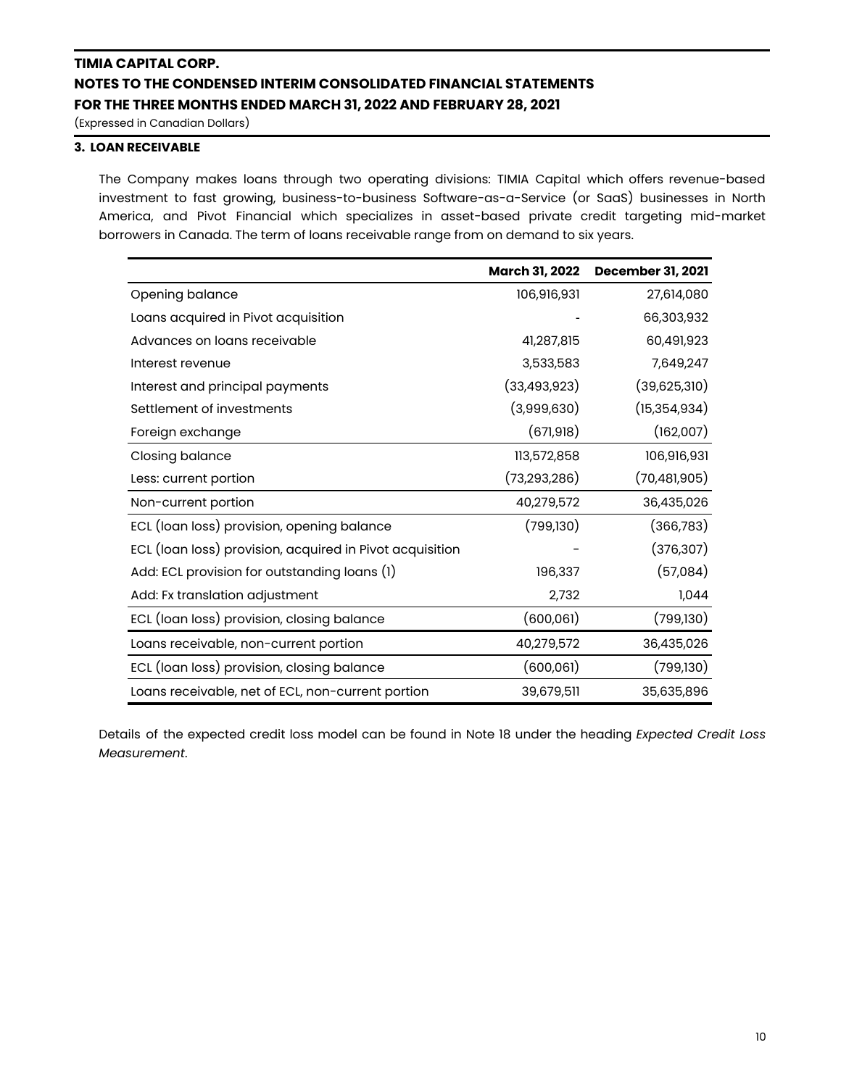(Expressed in Canadian Dollars)

### **3. LOAN RECEIVABLE**

The Company makes loans through two operating divisions: TIMIA Capital which offers revenue-based investment to fast growing, business-to-business Software-as-a-Service (or SaaS) businesses in North America, and Pivot Financial which specializes in asset-based private credit targeting mid-market borrowers in Canada. The term of loans receivable range from on demand to six years.

|                                                          | March 31, 2022 | <b>December 31, 2021</b> |
|----------------------------------------------------------|----------------|--------------------------|
| Opening balance                                          | 106,916,931    | 27,614,080               |
| Loans acquired in Pivot acquisition                      |                | 66,303,932               |
| Advances on loans receivable                             | 41,287,815     | 60,491,923               |
| Interest revenue                                         | 3,533,583      | 7,649,247                |
| Interest and principal payments                          | (33, 493, 923) | (39,625,310)             |
| Settlement of investments                                | (3,999,630)    | (15, 354, 934)           |
| Foreign exchange                                         | (671, 918)     | (162,007)                |
| Closing balance                                          | 113,572,858    | 106,916,931              |
| Less: current portion                                    | (73, 293, 286) | (70, 481, 905)           |
| Non-current portion                                      | 40,279,572     | 36,435,026               |
| ECL (loan loss) provision, opening balance               | (799, 130)     | (366, 783)               |
| ECL (loan loss) provision, acquired in Pivot acquisition |                | (376, 307)               |
| Add: ECL provision for outstanding loans (1)             | 196,337        | (57,084)                 |
| Add: Fx translation adjustment                           | 2,732          | 1,044                    |
| ECL (loan loss) provision, closing balance               | (600, 061)     | (799, 130)               |
| Loans receivable, non-current portion                    | 40,279,572     | 36,435,026               |
| ECL (loan loss) provision, closing balance               | (600,061)      | (799,130)                |
| Loans receivable, net of ECL, non-current portion        | 39,679,511     | 35,635,896               |

Details of the expected credit loss model can be found in Note 18 under the heading *Expected Credit Loss Measurement*.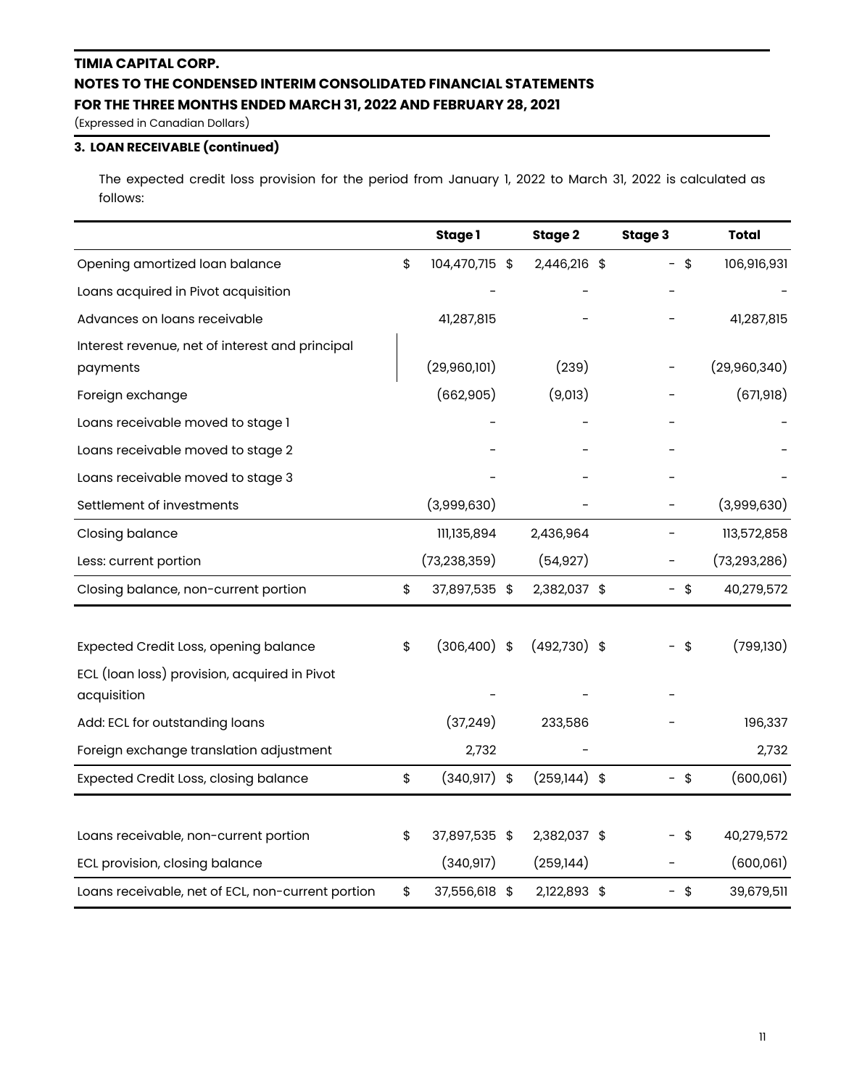(Expressed in Canadian Dollars)

## **3. LOAN RECEIVABLE (continued)**

The expected credit loss provision for the period from January 1, 2022 to March 31, 2022 is calculated as follows:

|                                                             | Stage 1               | Stage 2        | Stage 3   | <b>Total</b>   |
|-------------------------------------------------------------|-----------------------|----------------|-----------|----------------|
| Opening amortized loan balance                              | \$<br>104,470,715 \$  | 2,446,216 \$   | \$<br>$-$ | 106,916,931    |
| Loans acquired in Pivot acquisition                         |                       |                |           |                |
| Advances on loans receivable                                | 41,287,815            |                |           | 41,287,815     |
| Interest revenue, net of interest and principal<br>payments | (29,960,101)          | (239)          |           | (29,960,340)   |
| Foreign exchange                                            | (662,905)             | (9,013)        |           | (671, 918)     |
| Loans receivable moved to stage 1                           |                       |                |           |                |
| Loans receivable moved to stage 2                           |                       |                |           |                |
| Loans receivable moved to stage 3                           |                       |                |           |                |
| Settlement of investments                                   | (3,999,630)           |                |           | (3,999,630)    |
| <b>Closing balance</b>                                      | 111,135,894           | 2,436,964      |           | 113,572,858    |
| Less: current portion                                       | (73, 238, 359)        | (54, 927)      |           | (73, 293, 286) |
| Closing balance, non-current portion                        | \$<br>37,897,535 \$   | 2,382,037 \$   | - \$      | 40,279,572     |
|                                                             |                       |                |           |                |
| Expected Credit Loss, opening balance                       | \$<br>$(306, 400)$ \$ | $(492,730)$ \$ | \$        | (799, 130)     |
| ECL (loan loss) provision, acquired in Pivot                |                       |                |           |                |
| acquisition                                                 |                       |                |           |                |
| Add: ECL for outstanding loans                              | (37, 249)             | 233,586        |           | 196,337        |
| Foreign exchange translation adjustment                     | 2,732                 |                |           | 2,732          |
| <b>Expected Credit Loss, closing balance</b>                | \$<br>$(340, 917)$ \$ | $(259,144)$ \$ | $-$ \$    | (600,061)      |
|                                                             |                       |                |           |                |
| Loans receivable, non-current portion                       | \$<br>37,897,535 \$   | 2,382,037 \$   | \$        | 40,279,572     |
| ECL provision, closing balance                              | (340, 917)            | (259, 144)     |           | (600,061)      |
| Loans receivable, net of ECL, non-current portion           | \$<br>37,556,618 \$   | 2,122,893 \$   | $-$ \$    | 39,679,511     |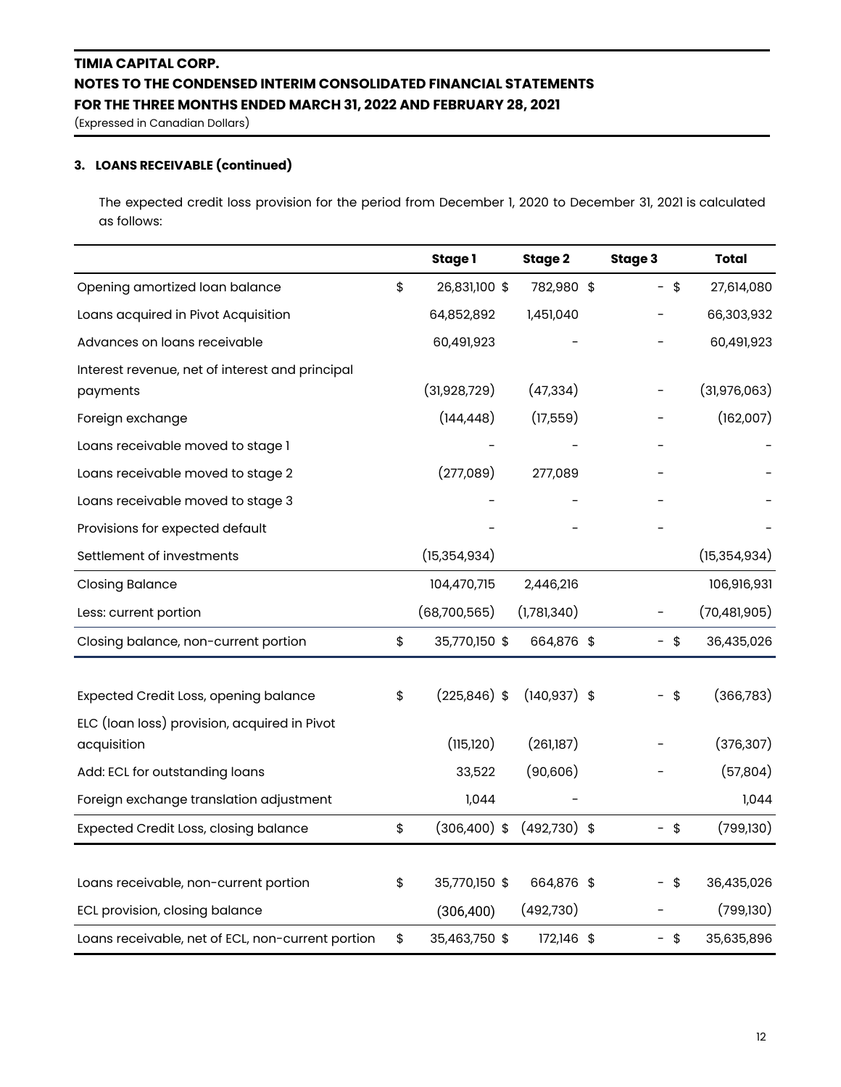(Expressed in Canadian Dollars)

### **3. LOANS RECEIVABLE (continued)**

The expected credit loss provision for the period from December 1, 2020 to December 31, 2021 is calculated as follows:

|                                                                                       | Stage 1               | Stage 2         | Stage 3 | <b>Total</b>   |
|---------------------------------------------------------------------------------------|-----------------------|-----------------|---------|----------------|
| Opening amortized loan balance                                                        | \$<br>26,831,100 \$   | 782,980 \$      | - \$    | 27,614,080     |
| Loans acquired in Pivot Acquisition                                                   | 64,852,892            | 1,451,040       |         | 66,303,932     |
| Advances on loans receivable                                                          | 60,491,923            |                 |         | 60,491,923     |
| Interest revenue, net of interest and principal<br>payments                           | (31,928,729)          | (47, 334)       |         | (31, 976, 063) |
| Foreign exchange                                                                      | (144, 448)            | (17,559)        |         | (162,007)      |
| Loans receivable moved to stage 1                                                     |                       |                 |         |                |
| Loans receivable moved to stage 2                                                     | (277,089)             | 277,089         |         |                |
| Loans receivable moved to stage 3                                                     |                       |                 |         |                |
| Provisions for expected default                                                       |                       |                 |         |                |
| Settlement of investments                                                             | (15, 354, 934)        |                 |         | (15, 354, 934) |
| <b>Closing Balance</b>                                                                | 104,470,715           | 2,446,216       |         | 106,916,931    |
| Less: current portion                                                                 | (68,700,565)          | (1,781,340)     |         | (70, 481, 905) |
| Closing balance, non-current portion                                                  | \$<br>35,770,150 \$   | 664,876 \$      | - \$    | 36,435,026     |
| Expected Credit Loss, opening balance<br>ELC (loan loss) provision, acquired in Pivot | \$<br>$(225, 846)$ \$ | $(140, 937)$ \$ | -\$     | (366, 783)     |
| acquisition                                                                           | (115, 120)            | (261,187)       |         | (376, 307)     |
| Add: ECL for outstanding loans                                                        | 33,522                | (90,606)        |         | (57,804)       |
| Foreign exchange translation adjustment                                               | 1,044                 |                 |         | 1,044          |
| <b>Expected Credit Loss, closing balance</b>                                          | \$<br>$(306, 400)$ \$ | $(492,730)$ \$  | $-$ \$  | (799, 130)     |
| Loans receivable, non-current portion                                                 | \$<br>35,770,150 \$   | 664,876 \$      | - \$    | 36,435,026     |
| ECL provision, closing balance                                                        | (306, 400)            | (492,730)       |         | (799, 130)     |
| Loans receivable, net of ECL, non-current portion                                     | \$<br>35,463,750 \$   | 172,146 \$      | $-$ \$  | 35,635,896     |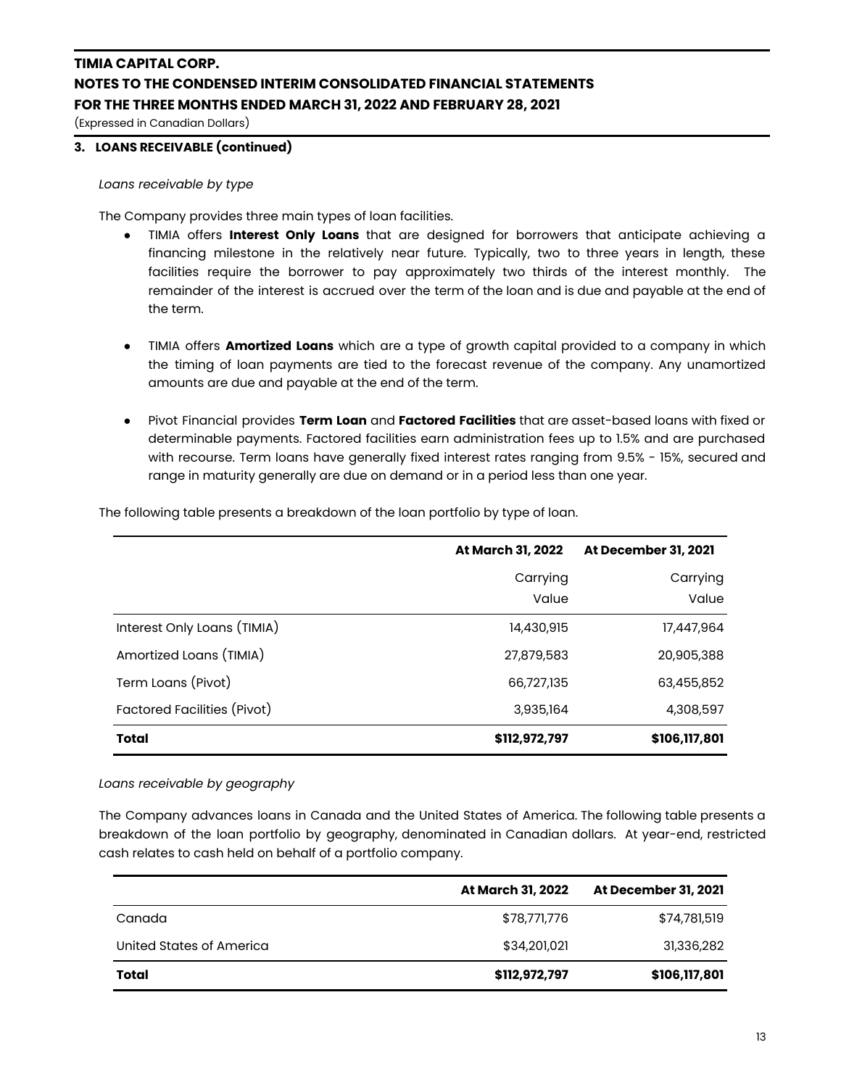(Expressed in Canadian Dollars)

### **3. LOANS RECEIVABLE (continued)**

*Loans receivable by type*

The Company provides three main types of loan facilities.

- TIMIA offers **Interest Only Loans** that are designed for borrowers that anticipate achieving a financing milestone in the relatively near future. Typically, two to three years in length, these facilities require the borrower to pay approximately two thirds of the interest monthly. The remainder of the interest is accrued over the term of the loan and is due and payable at the end of the term.
- **●** TIMIA offers **Amortized Loans** which are a type of growth capital provided to a company in which the timing of loan payments are tied to the forecast revenue of the company. Any unamortized amounts are due and payable at the end of the term.
- Pivot Financial provides **Term Loan** and **Factored Facilities** that are asset-based loans with fixed or determinable payments. Factored facilities earn administration fees up to 1.5% and are purchased with recourse. Term loans have generally fixed interest rates ranging from 9.5% - 15%, secured and range in maturity generally are due on demand or in a period less than one year.

|                             | At March 31, 2022 | At December 31, 2021 |
|-----------------------------|-------------------|----------------------|
|                             | Carrying          | Carrying             |
|                             | Value             | Value                |
| Interest Only Loans (TIMIA) | 14,430,915        | 17,447,964           |
| Amortized Loans (TIMIA)     | 27,879,583        | 20,905,388           |
| Term Loans (Pivot)          | 66,727,135        | 63,455,852           |
| Factored Facilities (Pivot) | 3,935,164         | 4,308,597            |
| <b>Total</b>                | \$112,972,797     | \$106,117,801        |

The following table presents a breakdown of the loan portfolio by type of loan.

*Loans receivable by geography*

The Company advances loans in Canada and the United States of America. The following table presents a breakdown of the loan portfolio by geography, denominated in Canadian dollars. At year-end, restricted cash relates to cash held on behalf of a portfolio company.

|                          | At March 31, 2022 | At December 31, 2021 |
|--------------------------|-------------------|----------------------|
| Canada                   | \$78,771,776      | \$74,781,519         |
| United States of America | \$34,201,021      | 31,336,282           |
| Total                    | \$112,972,797     | \$106,117,801        |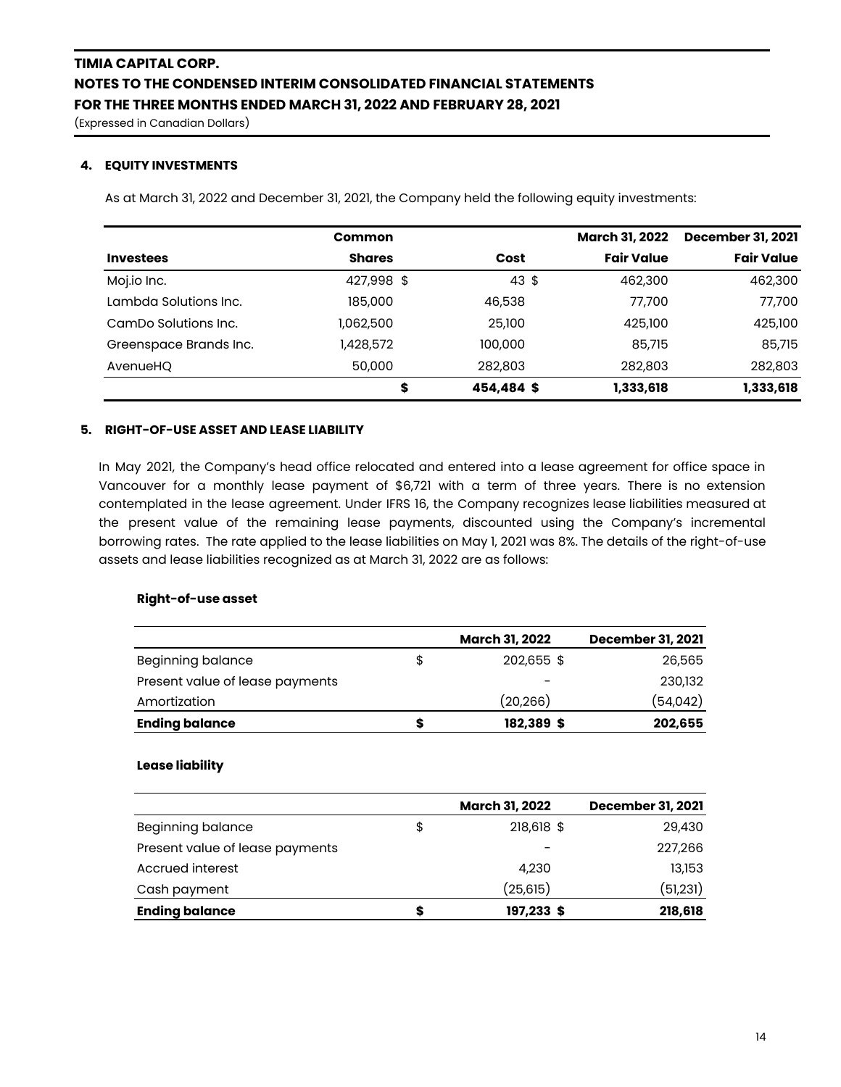(Expressed in Canadian Dollars)

### **4. EQUITY INVESTMENTS**

As at March 31, 2022 and December 31, 2021, the Company held the following equity investments:

|                        | <b>Common</b> |            | <b>March 31, 2022</b> | <b>December 31, 2021</b> |
|------------------------|---------------|------------|-----------------------|--------------------------|
| <b>Investees</b>       | <b>Shares</b> | Cost       | <b>Fair Value</b>     | <b>Fair Value</b>        |
| Moj.io Inc.            | 427,998 \$    | 43 \$      | 462,300               | 462,300                  |
| Lambda Solutions Inc.  | 185,000       | 46,538     | 77,700                | 77,700                   |
| CamDo Solutions Inc.   | 1,062,500     | 25,100     | 425,100               | 425,100                  |
| Greenspace Brands Inc. | 1,428,572     | 100,000    | 85,715                | 85,715                   |
| AvenueHQ               | 50,000        | 282,803    | 282,803               | 282,803                  |
|                        | \$            | 454,484 \$ | 1,333,618             | 1,333,618                |

### **5. RIGHT-OF-USE ASSET AND LEASE LIABILITY**

In May 2021, the Company's head office relocated and entered into a lease agreement for office space in Vancouver for a monthly lease payment of \$6,721 with a term of three years. There is no extension contemplated in the lease agreement. Under IFRS 16, the Company recognizes lease liabilities measured at the present value of the remaining lease payments, discounted using the Company's incremental borrowing rates. The rate applied to the lease liabilities on May 1, 2021 was 8%. The details of the right-of-use assets and lease liabilities recognized as at March 31, 2022 are as follows:

### **Right-of-use asset**

|                                 | <b>March 31, 2022</b> | <b>December 31, 2021</b> |
|---------------------------------|-----------------------|--------------------------|
| <b>Beginning balance</b>        | \$<br>202,655 \$      | 26,565                   |
| Present value of lease payments |                       | 230,132                  |
| Amortization                    | (20, 266)             | (54,042)                 |
| <b>Ending balance</b>           | 182,389 \$            | 202,655                  |

#### **Lease liability**

|                                 |    | <b>March 31, 2022</b> | <b>December 31, 2021</b> |
|---------------------------------|----|-----------------------|--------------------------|
| <b>Beginning balance</b>        | \$ | 218,618 \$            | 29,430                   |
| Present value of lease payments |    |                       | 227,266                  |
| Accrued interest                |    | 4,230                 | 13,153                   |
| Cash payment                    |    | (25,615)              | (51,231)                 |
| <b>Ending balance</b>           | S  | 197,233 \$            | 218,618                  |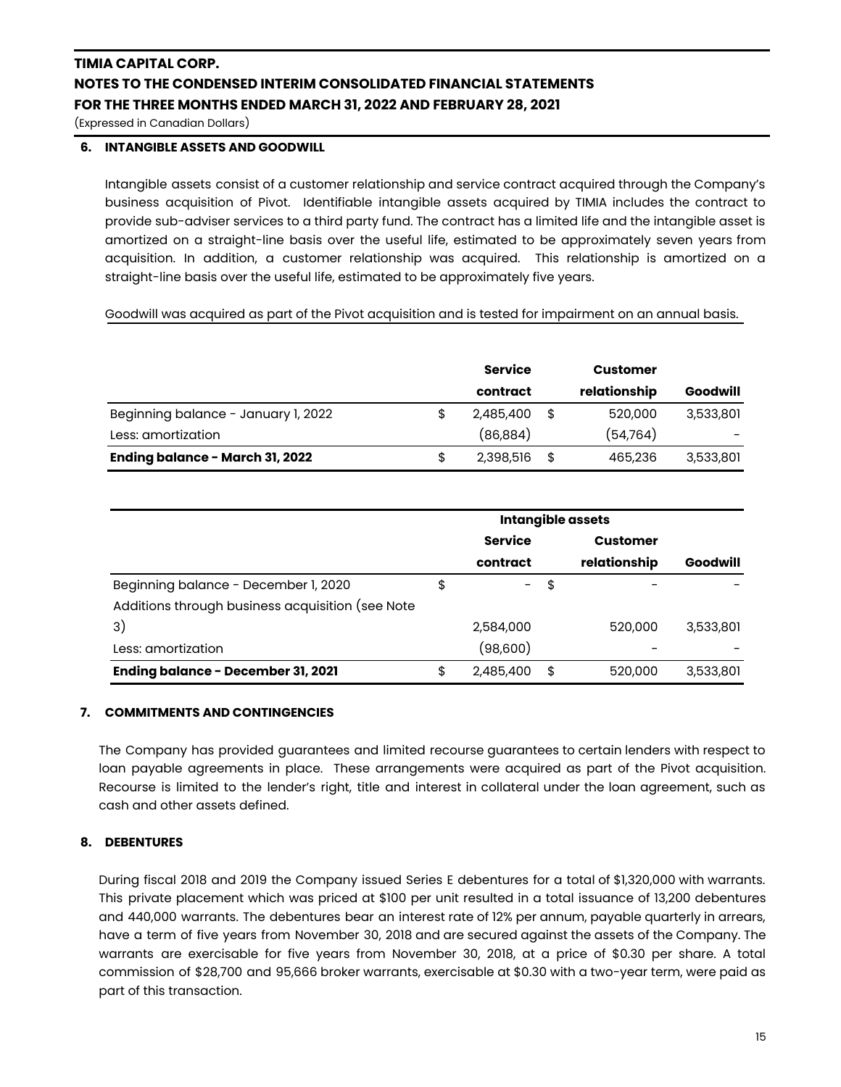(Expressed in Canadian Dollars)

### **6. INTANGIBLE ASSETS AND GOODWILL**

Intangible assets consist of a customer relationship and service contract acquired through the Company's business acquisition of Pivot. Identifiable intangible assets acquired by TIMIA includes the contract to provide sub-adviser services to a third party fund. The contract has a limited life and the intangible asset is amortized on a straight-line basis over the useful life, estimated to be approximately seven years from acquisition. In addition, a customer relationship was acquired. This relationship is amortized on a straight-line basis over the useful life, estimated to be approximately five years.

Goodwill was acquired as part of the Pivot acquisition and is tested for impairment on an annual basis.

|                                     | <b>Service</b> | Customer      |           |
|-------------------------------------|----------------|---------------|-----------|
|                                     | contract       | relationship  | Goodwill  |
| Beginning balance - January 1, 2022 | 2,485,400      | \$<br>520,000 | 3,533,801 |
| Less: amortization                  | (86, 884)      | (54,764)      |           |
| Ending balance - March 31, 2022     | 2,398,516      | \$<br>465,236 | 3,533,801 |

|                                                  | <b>Intangible assets</b> |                |    |                 |           |
|--------------------------------------------------|--------------------------|----------------|----|-----------------|-----------|
|                                                  |                          | <b>Service</b> |    | <b>Customer</b> |           |
|                                                  |                          | contract       |    | relationship    | Goodwill  |
| Beginning balance - December 1, 2020             | \$                       | $\sim$ $-$     | \$ |                 |           |
| Additions through business acquisition (see Note |                          |                |    |                 |           |
| 3)                                               |                          | 2,584,000      |    | 520,000         | 3,533,801 |
| Less: amortization                               |                          | (98,600)       |    |                 |           |
| Ending balance - December 31, 2021               | S                        | 2,485,400      | \$ | 520,000         | 3,533,801 |

### **7. COMMITMENTS AND CONTINGENCIES**

The Company has provided guarantees and limited recourse guarantees to certain lenders with respect to loan payable agreements in place. These arrangements were acquired as part of the Pivot acquisition. Recourse is limited to the lender's right, title and interest in collateral under the loan agreement, such as cash and other assets defined.

### **8. DEBENTURES**

During fiscal 2018 and 2019 the Company issued Series E debentures for a total of \$1,320,000 with warrants. This private placement which was priced at \$100 per unit resulted in a total issuance of 13,200 debentures and 440,000 warrants. The debentures bear an interest rate of 12% per annum, payable quarterly in arrears, have a term of five years from November 30, 2018 and are secured against the assets of the Company. The warrants are exercisable for five years from November 30, 2018, at a price of \$0.30 per share. A total commission of \$28,700 and 95,666 broker warrants, exercisable at \$0.30 with a two-year term, were paid as part of this transaction.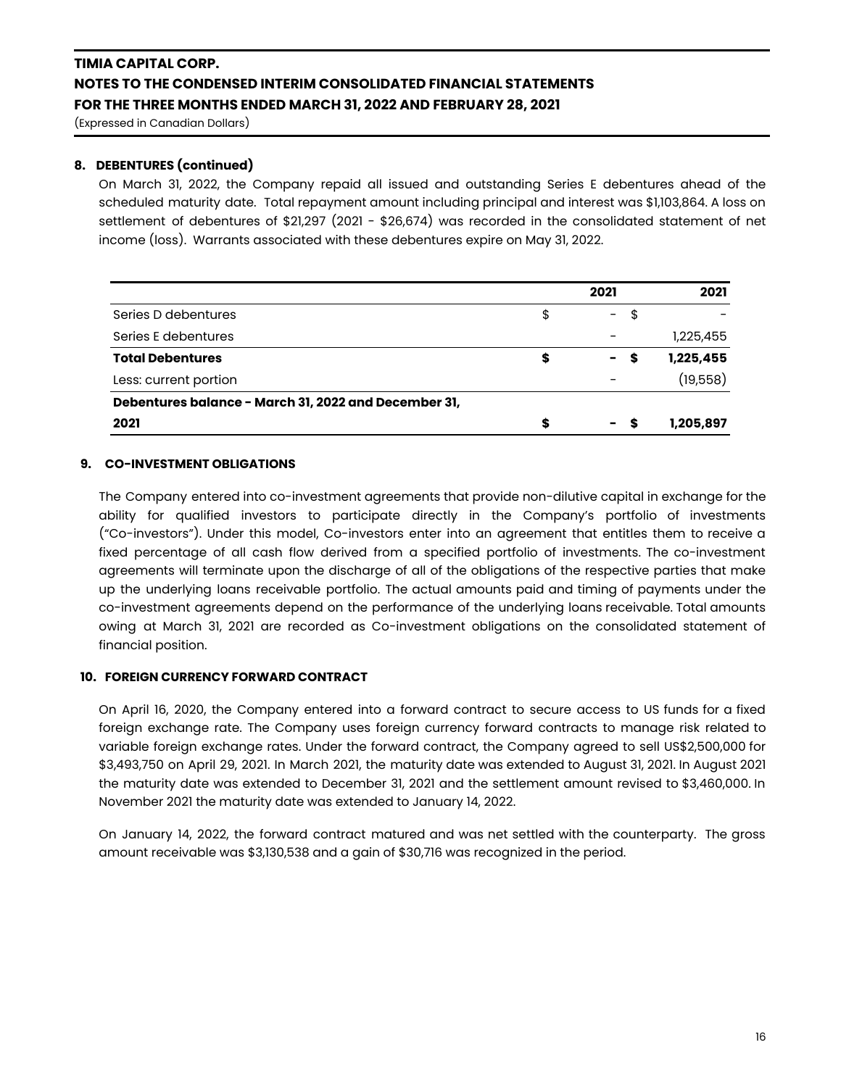(Expressed in Canadian Dollars)

### **8. DEBENTURES (continued)**

On March 31, 2022, the Company repaid all issued and outstanding Series E debentures ahead of the scheduled maturity date. Total repayment amount including principal and interest was \$1,103,864. A loss on settlement of debentures of \$21,297 (2021 - \$26,674) was recorded in the consolidated statement of net income (loss). Warrants associated with these debentures expire on May 31, 2022.

|                                                      | 2021                           |    | 2021      |
|------------------------------------------------------|--------------------------------|----|-----------|
| Series D debentures                                  | \$<br>$\sim$ $-$               | \$ |           |
| Series E debentures                                  | $\overline{\phantom{0}}$       |    | 1,225,455 |
| <b>Total Debentures</b>                              | \$<br>$\sim$                   | S  | 1,225,455 |
| Less: current portion                                | $\overline{\phantom{0}}$       |    | (19,558)  |
| Debentures balance - March 31, 2022 and December 31, |                                |    |           |
| 2021                                                 | \$<br>$\overline{\phantom{0}}$ |    | 1,205,897 |

### **9. CO-INVESTMENT OBLIGATIONS**

The Company entered into co-investment agreements that provide non-dilutive capital in exchange for the ability for qualified investors to participate directly in the Company's portfolio of investments ("Co-investors"). Under this model, Co-investors enter into an agreement that entitles them to receive a fixed percentage of all cash flow derived from a specified portfolio of investments. The co-investment agreements will terminate upon the discharge of all of the obligations of the respective parties that make up the underlying loans receivable portfolio. The actual amounts paid and timing of payments under the co-investment agreements depend on the performance of the underlying loans receivable. Total amounts owing at March 31, 2021 are recorded as Co-investment obligations on the consolidated statement of financial position.

### **10. FOREIGN CURRENCY FORWARD CONTRACT**

On April 16, 2020, the Company entered into a forward contract to secure access to US funds for a fixed foreign exchange rate. The Company uses foreign currency forward contracts to manage risk related to variable foreign exchange rates. Under the forward contract, the Company agreed to sell US\$2,500,000 for \$3,493,750 on April 29, 2021. In March 2021, the maturity date was extended to August 31, 2021. In August 2021 the maturity date was extended to December 31, 2021 and the settlement amount revised to \$3,460,000. In November 2021 the maturity date was extended to January 14, 2022.

On January 14, 2022, the forward contract matured and was net settled with the counterparty. The gross amount receivable was \$3,130,538 and a gain of \$30,716 was recognized in the period.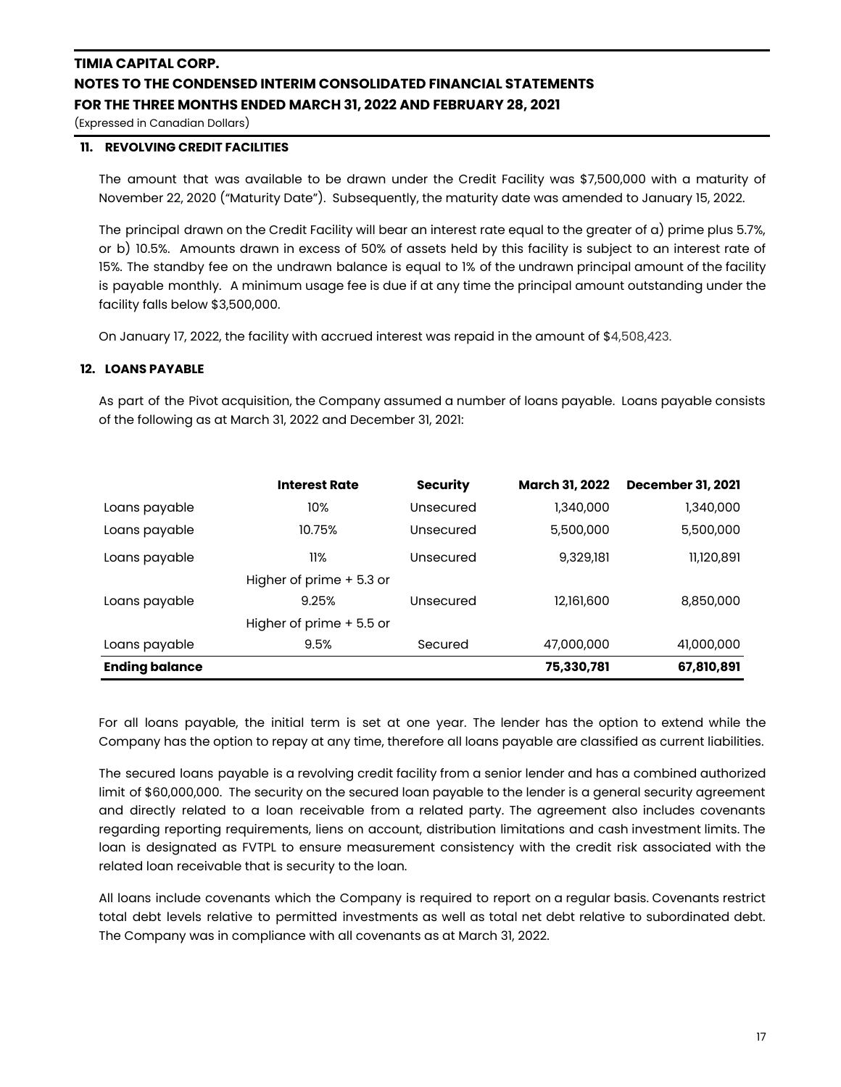(Expressed in Canadian Dollars)

### **11. REVOLVING CREDIT FACILITIES**

The amount that was available to be drawn under the Credit Facility was \$7,500,000 with a maturity of November 22, 2020 ("Maturity Date"). Subsequently, the maturity date was amended to January 15, 2022.

The principal drawn on the Credit Facility will bear an interest rate equal to the greater of a) prime plus 5.7%, or b) 10.5%. Amounts drawn in excess of 50% of assets held by this facility is subject to an interest rate of 15%. The standby fee on the undrawn balance is equal to 1% of the undrawn principal amount of the facility is payable monthly. A minimum usage fee is due if at any time the principal amount outstanding under the facility falls below \$3,500,000.

On January 17, 2022, the facility with accrued interest was repaid in the amount of \$4,508,423.

### **12. LOANS PAYABLE**

As part of the Pivot acquisition, the Company assumed a number of loans payable. Loans payable consists of the following as at March 31, 2022 and December 31, 2021:

|                       | <b>Interest Rate</b>     | <b>Security</b> | March 31, 2022 | <b>December 31, 2021</b> |
|-----------------------|--------------------------|-----------------|----------------|--------------------------|
| Loans payable         | 10%                      | Unsecured       | 1,340,000      | 1,340,000                |
| Loans payable         | 10.75%                   | Unsecured       | 5,500,000      | 5,500,000                |
| Loans payable         | 11%                      | Unsecured       | 9,329,181      | 11,120,891               |
|                       | Higher of prime + 5.3 or |                 |                |                          |
| Loans payable         | 9.25%                    | Unsecured       | 12,161,600     | 8,850,000                |
|                       | Higher of prime + 5.5 or |                 |                |                          |
| Loans payable         | 9.5%                     | Secured         | 47,000,000     | 41,000,000               |
| <b>Ending balance</b> |                          |                 | 75,330,781     | 67,810,891               |

For all loans payable, the initial term is set at one year. The lender has the option to extend while the Company has the option to repay at any time, therefore all loans payable are classified as current liabilities.

The secured loans payable is a revolving credit facility from a senior lender and has a combined authorized limit of \$60,000,000. The security on the secured loan payable to the lender is a general security agreement and directly related to a loan receivable from a related party. The agreement also includes covenants regarding reporting requirements, liens on account, distribution limitations and cash investment limits. The loan is designated as FVTPL to ensure measurement consistency with the credit risk associated with the related loan receivable that is security to the loan.

All loans include covenants which the Company is required to report on a regular basis. Covenants restrict total debt levels relative to permitted investments as well as total net debt relative to subordinated debt. The Company was in compliance with all covenants as at March 31, 2022.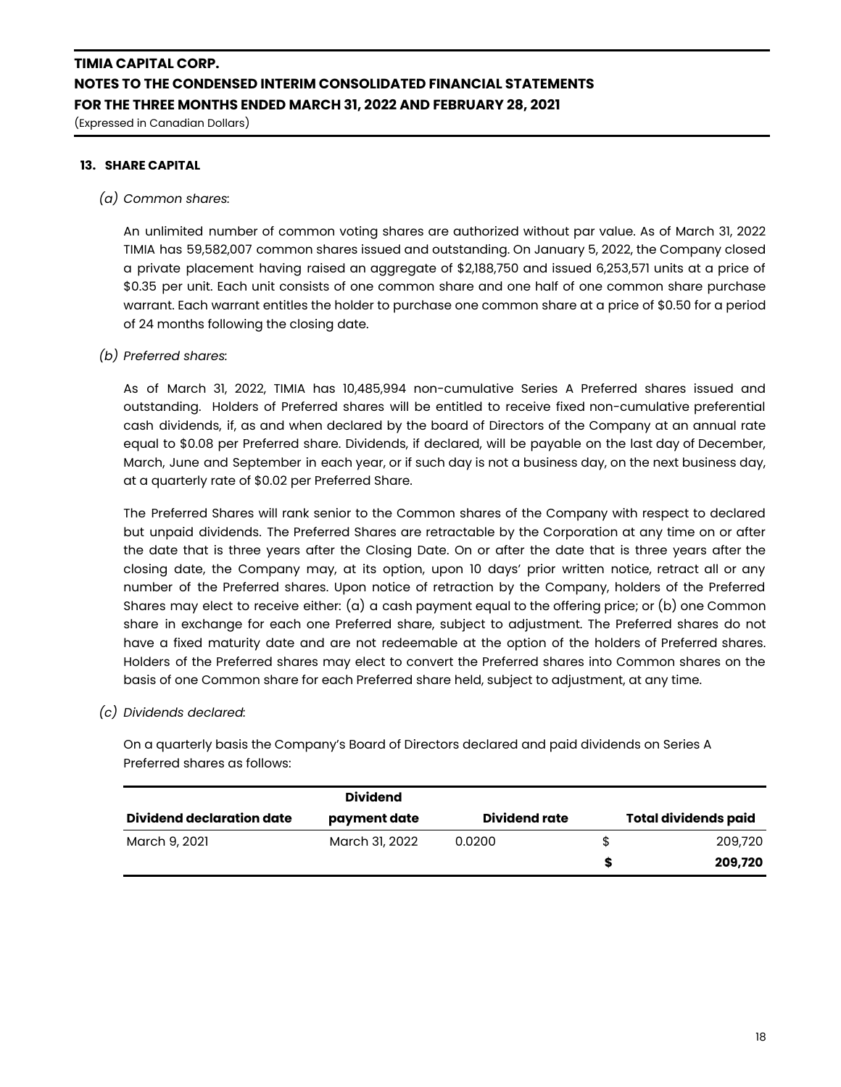(Expressed in Canadian Dollars)

### **13. SHARE CAPITAL**

#### *(a) Common shares:*

An unlimited number of common voting shares are authorized without par value. As of March 31, 2022 TIMIA has 59,582,007 common shares issued and outstanding. On January 5, 2022, the Company closed a private placement having raised an aggregate of \$2,188,750 and issued 6,253,571 units at a price of \$0.35 per unit. Each unit consists of one common share and one half of one common share purchase warrant. Each warrant entitles the holder to purchase one common share at a price of \$0.50 for a period of 24 months following the closing date.

### *(b) Preferred shares:*

As of March 31, 2022, TIMIA has 10,485,994 non-cumulative Series A Preferred shares issued and outstanding. Holders of Preferred shares will be entitled to receive fixed non-cumulative preferential cash dividends, if, as and when declared by the board of Directors of the Company at an annual rate equal to \$0.08 per Preferred share. Dividends, if declared, will be payable on the last day of December, March, June and September in each year, or if such day is not a business day, on the next business day, at a quarterly rate of \$0.02 per Preferred Share.

The Preferred Shares will rank senior to the Common shares of the Company with respect to declared but unpaid dividends. The Preferred Shares are retractable by the Corporation at any time on or after the date that is three years after the Closing Date. On or after the date that is three years after the closing date, the Company may, at its option, upon 10 days' prior written notice, retract all or any number of the Preferred shares. Upon notice of retraction by the Company, holders of the Preferred Shares may elect to receive either: (a) a cash payment equal to the offering price; or (b) one Common share in exchange for each one Preferred share, subject to adjustment. The Preferred shares do not have a fixed maturity date and are not redeemable at the option of the holders of Preferred shares. Holders of the Preferred shares may elect to convert the Preferred shares into Common shares on the basis of one Common share for each Preferred share held, subject to adjustment, at any time.

#### *(c) Dividends declared:*

On a quarterly basis the Company's Board of Directors declared and paid dividends on Series A Preferred shares as follows:

|                                  | <b>Dividend</b> |               |                             |
|----------------------------------|-----------------|---------------|-----------------------------|
| <b>Dividend declaration date</b> | payment date    | Dividend rate | <b>Total dividends paid</b> |
| March 9, 2021                    | March 31, 2022  | 0.0200        | \$<br>209,720               |
|                                  |                 |               | 209,720                     |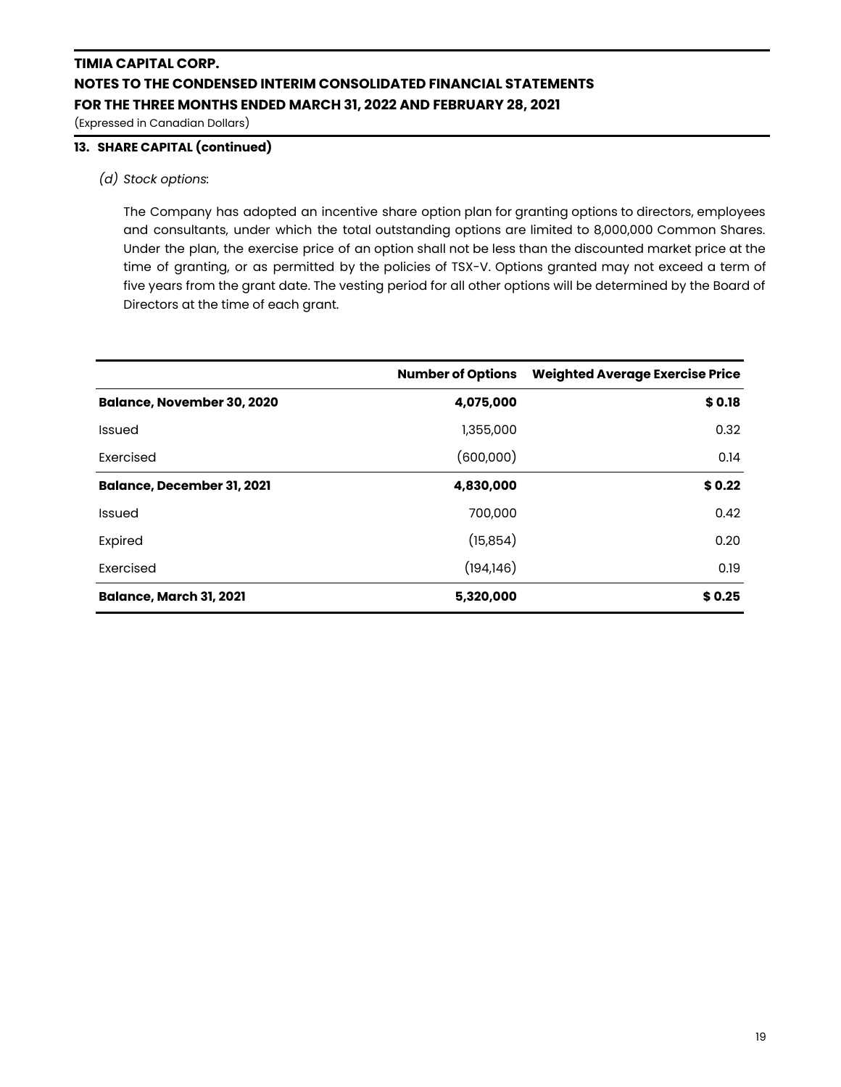(Expressed in Canadian Dollars)

### **13. SHARE CAPITAL (continued)**

### *(d) Stock options:*

The Company has adopted an incentive share option plan for granting options to directors, employees and consultants, under which the total outstanding options are limited to 8,000,000 Common Shares. Under the plan, the exercise price of an option shall not be less than the discounted market price at the time of granting, or as permitted by the policies of TSX-V. Options granted may not exceed a term of five years from the grant date. The vesting period for all other options will be determined by the Board of Directors at the time of each grant.

|                                   | <b>Number of Options</b> | <b>Weighted Average Exercise Price</b> |
|-----------------------------------|--------------------------|----------------------------------------|
| <b>Balance, November 30, 2020</b> | 4,075,000                | \$0.18                                 |
| <b>Issued</b>                     | 1,355,000                | 0.32                                   |
| Exercised                         | (600,000)                | 0.14                                   |
| <b>Balance, December 31, 2021</b> | 4,830,000                | \$0.22                                 |
| <b>Issued</b>                     | 700,000                  | 0.42                                   |
| Expired                           | (15, 854)                | 0.20                                   |
| Exercised                         | (194, 146)               | 0.19                                   |
| <b>Balance, March 31, 2021</b>    | 5,320,000                | \$0.25                                 |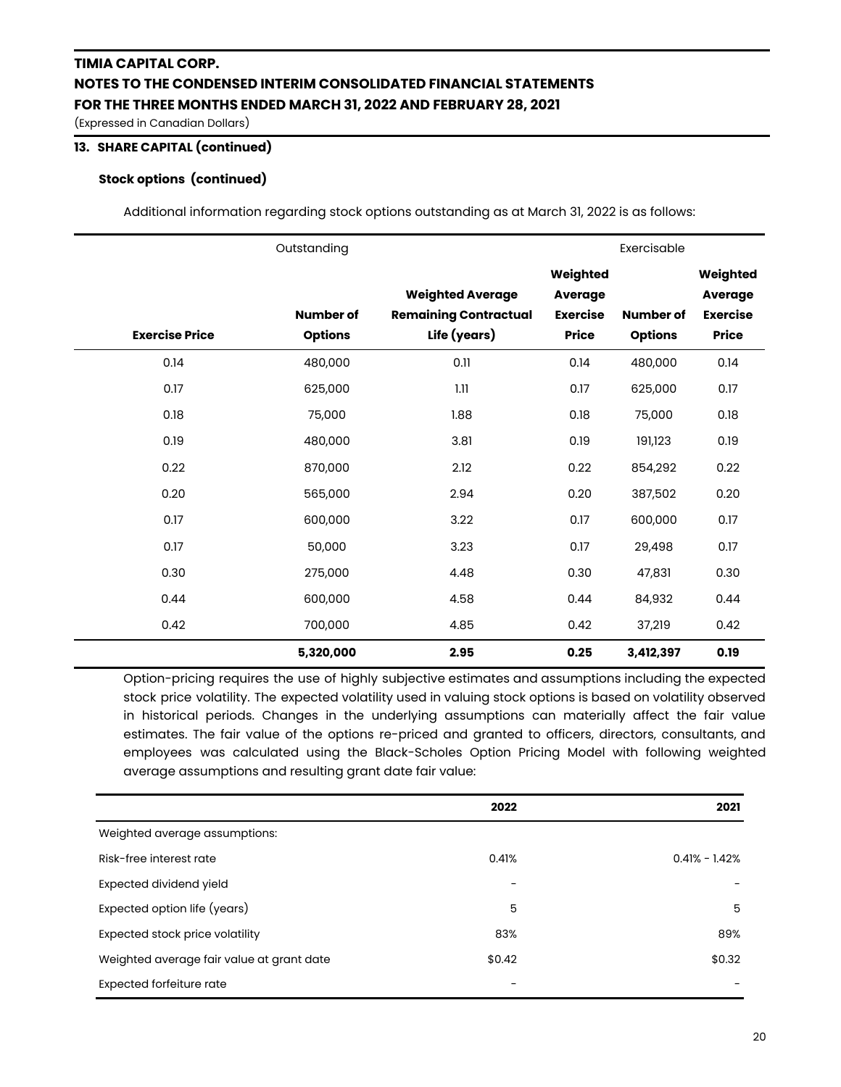(Expressed in Canadian Dollars)

### **13. SHARE CAPITAL (continued)**

### **Stock options (continued)**

Additional information regarding stock options outstanding as at March 31, 2022 is as follows:

|                       | Outstanding                        |                                                                         |                                                               | Exercisable                        |                                                               |
|-----------------------|------------------------------------|-------------------------------------------------------------------------|---------------------------------------------------------------|------------------------------------|---------------------------------------------------------------|
| <b>Exercise Price</b> | <b>Number of</b><br><b>Options</b> | <b>Weighted Average</b><br><b>Remaining Contractual</b><br>Life (years) | Weighted<br><b>Average</b><br><b>Exercise</b><br><b>Price</b> | <b>Number of</b><br><b>Options</b> | Weighted<br><b>Average</b><br><b>Exercise</b><br><b>Price</b> |
| 0.14                  | 480,000                            | 0.11                                                                    | 0.14                                                          | 480,000                            | 0.14                                                          |
| 0.17                  | 625,000                            | 1.11                                                                    | 0.17                                                          | 625,000                            | 0.17                                                          |
| 0.18                  | 75,000                             | 1.88                                                                    | 0.18                                                          | 75,000                             | 0.18                                                          |
| 0.19                  | 480,000                            | 3.81                                                                    | 0.19                                                          | 191,123                            | 0.19                                                          |
| 0.22                  | 870,000                            | 2.12                                                                    | 0.22                                                          | 854,292                            | 0.22                                                          |
| 0.20                  | 565,000                            | 2.94                                                                    | 0.20                                                          | 387,502                            | 0.20                                                          |
| 0.17                  | 600,000                            | 3.22                                                                    | 0.17                                                          | 600,000                            | 0.17                                                          |
| 0.17                  | 50,000                             | 3.23                                                                    | 0.17                                                          | 29,498                             | 0.17                                                          |
| 0.30                  | 275,000                            | 4.48                                                                    | 0.30                                                          | 47,831                             | 0.30                                                          |
| 0.44                  | 600,000                            | 4.58                                                                    | 0.44                                                          | 84,932                             | 0.44                                                          |
| 0.42                  | 700,000                            | 4.85                                                                    | 0.42                                                          | 37,219                             | 0.42                                                          |
|                       | 5,320,000                          | 2.95                                                                    | 0.25                                                          | 3,412,397                          | 0.19                                                          |

Option-pricing requires the use of highly subjective estimates and assumptions including the expected stock price volatility. The expected volatility used in valuing stock options is based on volatility observed in historical periods. Changes in the underlying assumptions can materially affect the fair value estimates. The fair value of the options re-priced and granted to officers, directors, consultants, and employees was calculated using the Black-Scholes Option Pricing Model with following weighted average assumptions and resulting grant date fair value:

|                                           | 2022   | 2021              |
|-------------------------------------------|--------|-------------------|
| Weighted average assumptions:             |        |                   |
| Risk-free interest rate                   | 0.41%  | $0.41\% - 1.42\%$ |
| Expected dividend yield                   |        |                   |
| Expected option life (years)              | 5      | 5                 |
| Expected stock price volatility           | 83%    | 89%               |
| Weighted average fair value at grant date | \$0.42 | \$0.32            |
| <b>Expected forfeiture rate</b>           | -      |                   |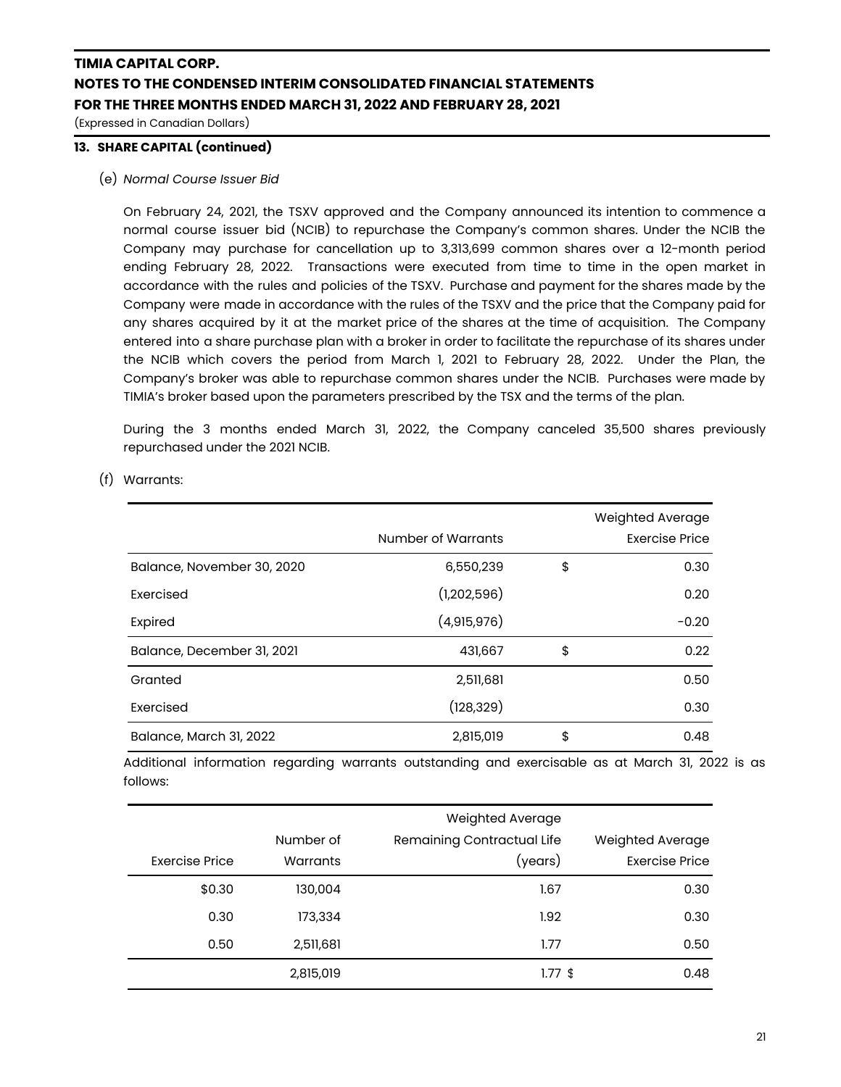(Expressed in Canadian Dollars)

### **13. SHARE CAPITAL (continued)**

### (e) *Normal Course Issuer Bid*

On February 24, 2021, the TSXV approved and the Company announced its intention to commence a normal course issuer bid (NCIB) to repurchase the Company's common shares. Under the NCIB the Company may purchase for cancellation up to 3,313,699 common shares over a 12-month period ending February 28, 2022. Transactions were executed from time to time in the open market in accordance with the rules and policies of the TSXV. Purchase and payment for the shares made by the Company were made in accordance with the rules of the TSXV and the price that the Company paid for any shares acquired by it at the market price of the shares at the time of acquisition. The Company entered into a share purchase plan with a broker in order to facilitate the repurchase of its shares under the NCIB which covers the period from March 1, 2021 to February 28, 2022. Under the Plan, the Company's broker was able to repurchase common shares under the NCIB. Purchases were made by TIMIA's broker based upon the parameters prescribed by the TSX and the terms of the plan.

During the 3 months ended March 31, 2022, the Company canceled 35,500 shares previously repurchased under the 2021 NCIB.

|                            | Number of Warrants | Weighted Average<br>Exercise Price |
|----------------------------|--------------------|------------------------------------|
| Balance, November 30, 2020 | 6,550,239          | \$<br>0.30                         |
| Exercised                  | (1,202,596)        | 0.20                               |
| Expired                    | (4,915,976)        | $-0.20$                            |
| Balance, December 31, 2021 | 431,667            | \$<br>0.22                         |
| Granted                    | 2,511,681          | 0.50                               |
| Exercised                  | (128, 329)         | 0.30                               |
| Balance, March 31, 2022    | 2,815,019          | \$<br>0.48                         |

(f) Warrants:

Additional information regarding warrants outstanding and exercisable as at March 31, 2022 is as follows:

|                |           | Weighted Average           |                       |
|----------------|-----------|----------------------------|-----------------------|
|                | Number of | Remaining Contractual Life | Weighted Average      |
| Exercise Price | Warrants  | (years)                    | <b>Exercise Price</b> |
| \$0.30         | 130,004   | 1.67                       | 0.30                  |
| 0.30           | 173,334   | 1.92                       | 0.30                  |
| 0.50           | 2,511,681 | 1.77                       | 0.50                  |
|                | 2,815,019 | $1.77$ \$                  | 0.48                  |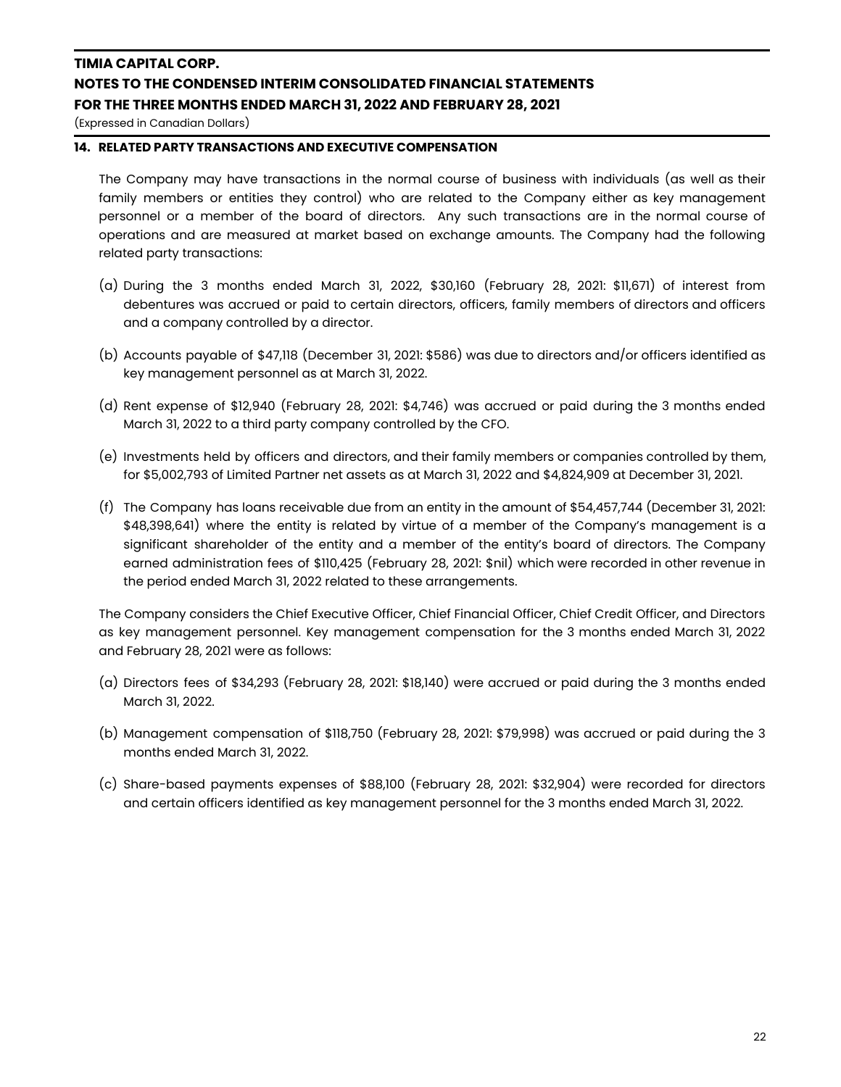(Expressed in Canadian Dollars)

### **14. RELATED PARTY TRANSACTIONS AND EXECUTIVE COMPENSATION**

The Company may have transactions in the normal course of business with individuals (as well as their family members or entities they control) who are related to the Company either as key management personnel or a member of the board of directors. Any such transactions are in the normal course of operations and are measured at market based on exchange amounts. The Company had the following related party transactions:

- (a) During the 3 months ended March 31, 2022, \$30,160 (February 28, 2021: \$11,671) of interest from debentures was accrued or paid to certain directors, officers, family members of directors and officers and a company controlled by a director.
- (b) Accounts payable of \$47,118 (December 31, 2021: \$586) was due to directors and/or officers identified as key management personnel as at March 31, 2022.
- (d) Rent expense of \$12,940 (February 28, 2021: \$4,746) was accrued or paid during the 3 months ended March 31, 2022 to a third party company controlled by the CFO.
- (e) Investments held by officers and directors, and their family members or companies controlled by them, for \$5,002,793 of Limited Partner net assets as at March 31, 2022 and \$4,824,909 at December 31, 2021.
- (f) The Company has loans receivable due from an entity in the amount of \$54,457,744 (December 31, 2021: \$48,398,641) where the entity is related by virtue of a member of the Company's management is a significant shareholder of the entity and a member of the entity's board of directors. The Company earned administration fees of \$110,425 (February 28, 2021: \$nil) which were recorded in other revenue in the period ended March 31, 2022 related to these arrangements.

The Company considers the Chief Executive Officer, Chief Financial Officer, Chief Credit Officer, and Directors as key management personnel. Key management compensation for the 3 months ended March 31, 2022 and February 28, 2021 were as follows:

- (a) Directors fees of \$34,293 (February 28, 2021: \$18,140) were accrued or paid during the 3 months ended March 31, 2022.
- (b) Management compensation of \$118,750 (February 28, 2021: \$79,998) was accrued or paid during the 3 months ended March 31, 2022.
- (c) Share-based payments expenses of \$88,100 (February 28, 2021: \$32,904) were recorded for directors and certain officers identified as key management personnel for the 3 months ended March 31, 2022.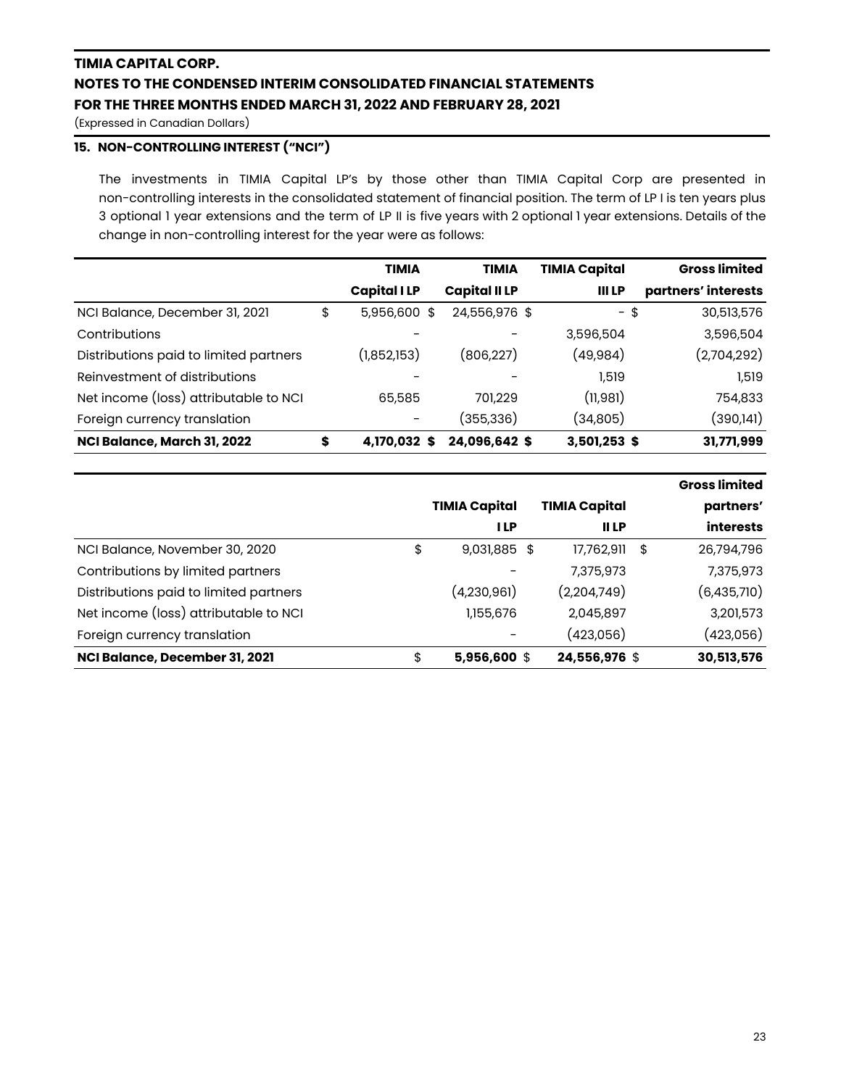(Expressed in Canadian Dollars)

## **15. NON-CONTROLLING INTEREST ("NCI")**

The investments in TIMIA Capital LP's by those other than TIMIA Capital Corp are presented in non-controlling interests in the consolidated statement of financial position. The term of LP I is ten years plus 3 optional 1 year extensions and the term of LP II is five years with 2 optional 1 year extensions. Details of the change in non-controlling interest for the year were as follows:

|                                        | <b>TIMIA</b>       | <b>TIMIA</b>         | <b>TIMIA Capital</b> | <b>Gross limited</b> |
|----------------------------------------|--------------------|----------------------|----------------------|----------------------|
|                                        | <b>Capital ILP</b> | <b>Capital II LP</b> | <b>III LP</b>        | partners' interests  |
| NCI Balance, December 31, 2021         | \$<br>5,956,600 \$ | 24,556,976 \$        | -\$                  | 30,513,576           |
| Contributions                          |                    |                      | 3,596,504            | 3,596,504            |
| Distributions paid to limited partners | (1,852,153)        | (806,227)            | (49, 984)            | (2,704,292)          |
| Reinvestment of distributions          |                    |                      | 1,519                | 1.519                |
| Net income (loss) attributable to NCI  | 65,585             | 701.229              | (11,981)             | 754,833              |
| Foreign currency translation           |                    | (355,336)            | (34,805)             | (390, 141)           |
| NCI Balance, March 31, 2022            | \$<br>4,170,032 \$ | 24,096,642 \$        | 3,501,253 \$         | 31,771,999           |

|                                        |                      |                      | <b>Gross limited</b> |
|----------------------------------------|----------------------|----------------------|----------------------|
|                                        | <b>TIMIA Capital</b> | <b>TIMIA Capital</b> | partners'            |
|                                        | <b>ILP</b>           | <b>IILP</b>          | <b>interests</b>     |
| NCI Balance, November 30, 2020         | \$<br>9,031,885 \$   | 17,762,911           | \$<br>26,794,796     |
| Contributions by limited partners      |                      | 7,375,973            | 7,375,973            |
| Distributions paid to limited partners | (4,230,961)          | (2,204,749)          | (6,435,710)          |
| Net income (loss) attributable to NCI  | 1,155,676            | 2,045,897            | 3,201,573            |
| Foreign currency translation           |                      | (423,056)            | (423,056)            |
| NCI Balance, December 31, 2021         | \$<br>$5,956,600$ \$ | 24,556,976 \$        | 30,513,576           |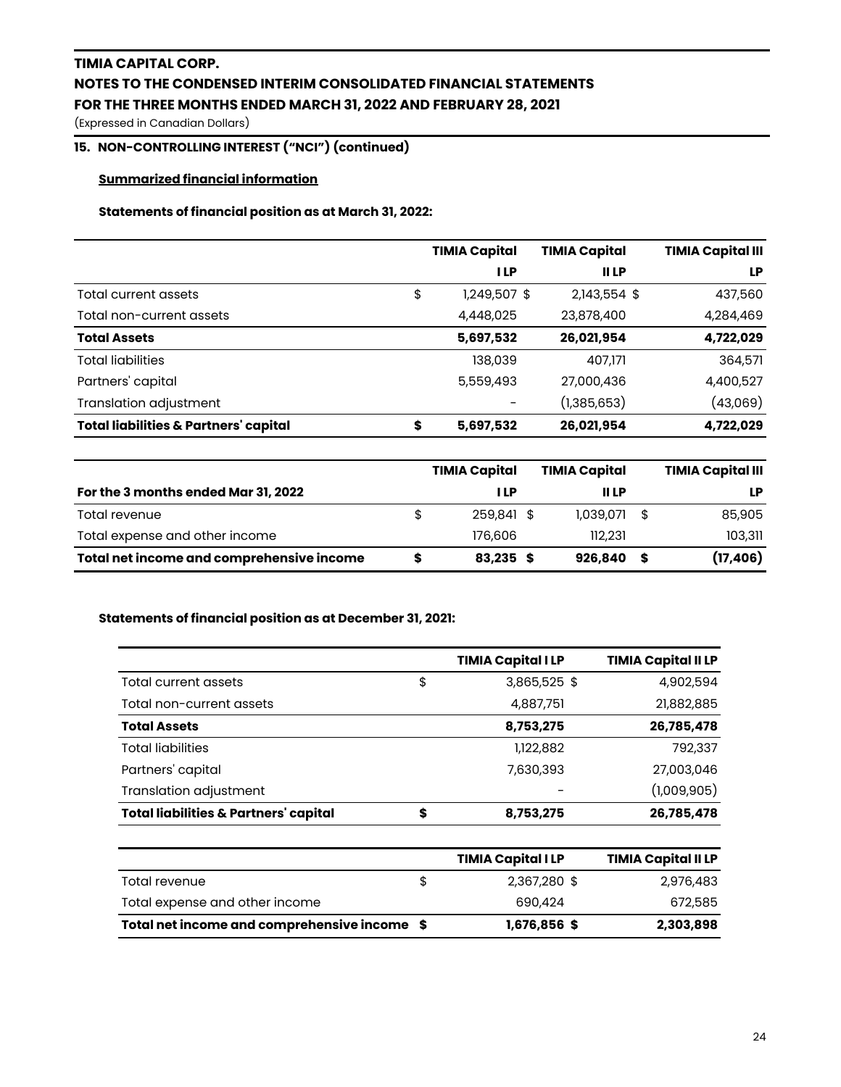(Expressed in Canadian Dollars)

## **15. NON-CONTROLLING INTEREST ("NCI") (continued)**

### **Summarized financial information**

### **Statements of financial position as at March 31, 2022:**

|                                                        | <b>TIMIA Capital</b> | <b>TIMIA Capital</b> | <b>TIMIA Capital III</b> |
|--------------------------------------------------------|----------------------|----------------------|--------------------------|
|                                                        | <b>ILP</b>           | <b>IILP</b>          | LP                       |
| \$<br>Total current assets                             | 1,249,507 \$         | 2,143,554 \$         | 437,560                  |
| Total non-current assets                               | 4,448,025            | 23,878,400           | 4,284,469                |
| <b>Total Assets</b>                                    | 5,697,532            | 26,021,954           | 4,722,029                |
| <b>Total liabilities</b>                               | 138,039              | 407,171              | 364,571                  |
| Partners' capital                                      | 5,559,493            | 27,000,436           | 4,400,527                |
| Translation adjustment                                 |                      | (1,385,653)          | (43,069)                 |
| <b>Total liabilities &amp; Partners' capital</b><br>\$ | 5,697,532            | 26,021,954           | 4,722,029                |

|                                           |   | <b>TIMIA Capital</b> |   | <b>TIMIA Capital</b> |     | <b>TIMIA Capital III</b> |
|-------------------------------------------|---|----------------------|---|----------------------|-----|--------------------------|
| For the 3 months ended Mar 31, 2022       |   | I LP                 |   | II LP                |     | LP                       |
| Total revenue                             | S | 259,841 \$           |   | 1,039,071            | -\$ | 85,905                   |
| Total expense and other income            |   | 176,606              |   | 112.231              |     | 103,311                  |
| Total net income and comprehensive income |   | 83,235               | S | 926,840              |     | (17, 406)                |

### **Statements of financial position as at December 31, 2021:**

|                                                  | <b>TIMIA Capital I LP</b> | <b>TIMIA Capital II LP</b> |
|--------------------------------------------------|---------------------------|----------------------------|
| Total current assets                             | \$<br>3,865,525 \$        | 4,902,594                  |
| Total non-current assets                         | 4,887,751                 | 21,882,885                 |
| <b>Total Assets</b>                              | 8,753,275                 | 26,785,478                 |
| <b>Total liabilities</b>                         | 1,122,882                 | 792,337                    |
| Partners' capital                                | 7,630,393                 | 27,003,046                 |
| Translation adjustment                           |                           | (1,009,905)                |
| <b>Total liabilities &amp; Partners' capital</b> | \$<br>8,753,275           | 26,785,478                 |

|                                              |   | <b>TIMIA Capital ILP</b> | <b>TIMIA Capital II LP</b> |
|----------------------------------------------|---|--------------------------|----------------------------|
| Total revenue                                | S | 2.367.280 \$             | 2,976,483                  |
| Total expense and other income               |   | 690,424                  | 672,585                    |
| Total net income and comprehensive income \$ |   | 1,676,856 \$             | 2,303,898                  |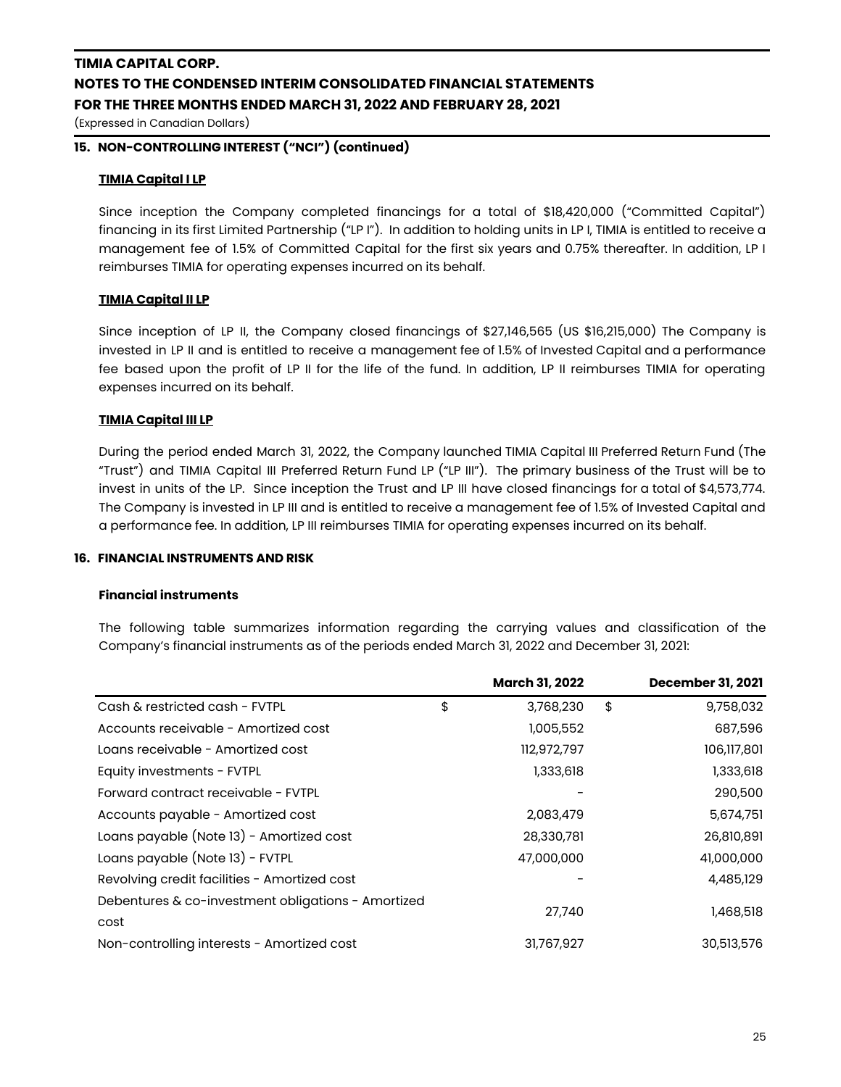(Expressed in Canadian Dollars)

### **15. NON-CONTROLLING INTEREST ("NCI") (continued)**

#### **TIMIA Capital I LP**

Since inception the Company completed financings for a total of \$18,420,000 ("Committed Capital") financing in its first Limited Partnership ("LP I"). In addition to holding units in LP I, TIMIA is entitled to receive a management fee of 1.5% of Committed Capital for the first six years and 0.75% thereafter. In addition, LP I reimburses TIMIA for operating expenses incurred on its behalf.

#### **TIMIA Capital II LP**

Since inception of LP II, the Company closed financings of \$27,146,565 (US \$16,215,000) The Company is invested in LP II and is entitled to receive a management fee of 1.5% of Invested Capital and a performance fee based upon the profit of LP II for the life of the fund. In addition, LP II reimburses TIMIA for operating expenses incurred on its behalf.

### **TIMIA Capital III LP**

During the period ended March 31, 2022, the Company launched TIMIA Capital III Preferred Return Fund (The "Trust") and TIMIA Capital III Preferred Return Fund LP ("LP III"). The primary business of the Trust will be to invest in units of the LP. Since inception the Trust and LP III have closed financings for a total of \$4,573,774. The Company is invested in LP III and is entitled to receive a management fee of 1.5% of Invested Capital and a performance fee. In addition, LP III reimburses TIMIA for operating expenses incurred on its behalf.

#### **16. FINANCIAL INSTRUMENTS AND RISK**

### **Financial instruments**

The following table summarizes information regarding the carrying values and classification of the Company's financial instruments as of the periods ended March 31, 2022 and December 31, 2021:

|                                                    | <b>March 31, 2022</b> | <b>December 31, 2021</b> |
|----------------------------------------------------|-----------------------|--------------------------|
| Cash & restricted cash - FVTPL                     | \$<br>3,768,230       | \$<br>9,758,032          |
| Accounts receivable - Amortized cost               | 1,005,552             | 687,596                  |
| Loans receivable - Amortized cost                  | 112,972,797           | 106,117,801              |
| Equity investments - FVTPL                         | 1,333,618             | 1,333,618                |
| Forward contract receivable - FVTPL                |                       | 290,500                  |
| Accounts payable - Amortized cost                  | 2,083,479             | 5,674,751                |
| Loans payable (Note 13) - Amortized cost           | 28,330,781            | 26,810,891               |
| Loans payable (Note 13) - FVTPL                    | 47,000,000            | 41,000,000               |
| Revolving credit facilities - Amortized cost       |                       | 4,485,129                |
| Debentures & co-investment obligations - Amortized | 27,740                | 1,468,518                |
| cost                                               |                       |                          |
| Non-controlling interests - Amortized cost         | 31,767,927            | 30,513,576               |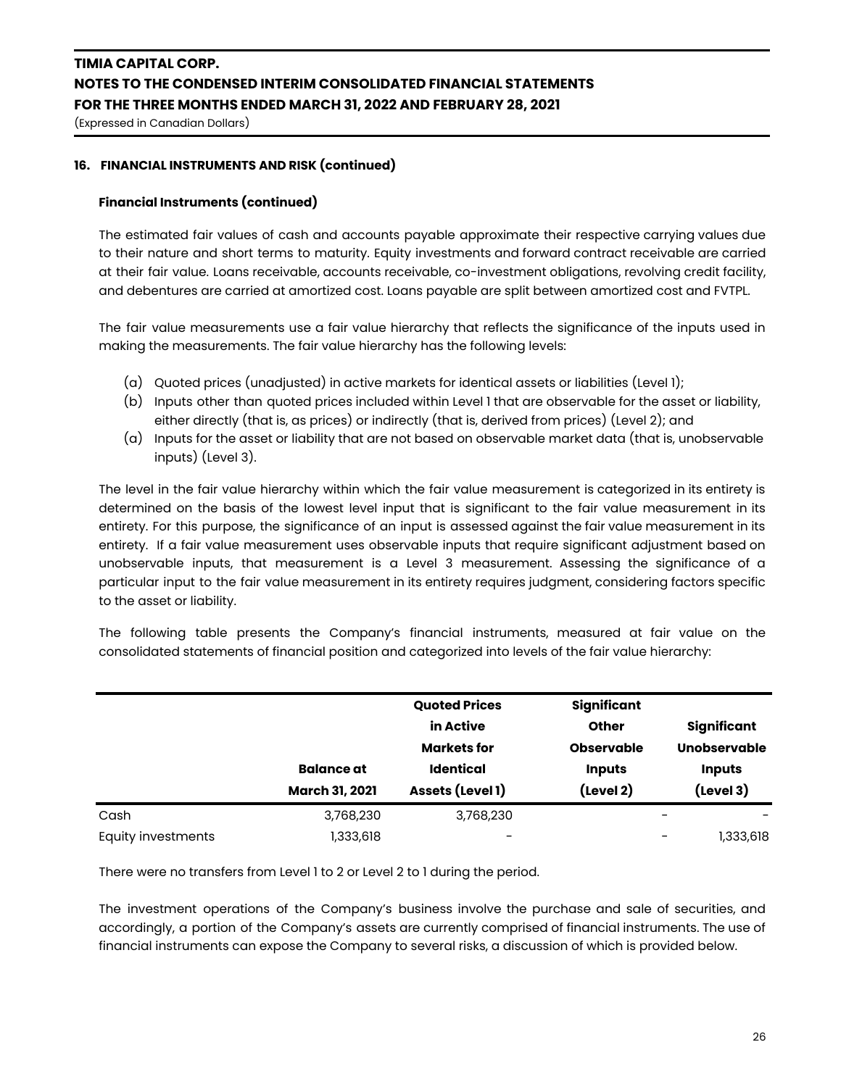(Expressed in Canadian Dollars)

### **16. FINANCIAL INSTRUMENTS AND RISK (continued)**

### **Financial Instruments (continued)**

The estimated fair values of cash and accounts payable approximate their respective carrying values due to their nature and short terms to maturity. Equity investments and forward contract receivable are carried at their fair value. Loans receivable, accounts receivable, co-investment obligations, revolving credit facility, and debentures are carried at amortized cost. Loans payable are split between amortized cost and FVTPL.

The fair value measurements use a fair value hierarchy that reflects the significance of the inputs used in making the measurements. The fair value hierarchy has the following levels:

- (a) Quoted prices (unadjusted) in active markets for identical assets or liabilities (Level 1);
- (b) Inputs other than quoted prices included within Level 1 that are observable for the asset or liability, either directly (that is, as prices) or indirectly (that is, derived from prices) (Level 2); and
- (a) Inputs for the asset or liability that are not based on observable market data (that is, unobservable inputs) (Level 3).

The level in the fair value hierarchy within which the fair value measurement is categorized in its entirety is determined on the basis of the lowest level input that is significant to the fair value measurement in its entirety. For this purpose, the significance of an input is assessed against the fair value measurement in its entirety. If a fair value measurement uses observable inputs that require significant adjustment based on unobservable inputs, that measurement is a Level 3 measurement. Assessing the significance of a particular input to the fair value measurement in its entirety requires judgment, considering factors specific to the asset or liability.

The following table presents the Company's financial instruments, measured at fair value on the consolidated statements of financial position and categorized into levels of the fair value hierarchy:

|                           |                       | <b>Quoted Prices</b><br>in Active      | <b>Significant</b><br><b>Other</b> | <b>Significant</b>            |
|---------------------------|-----------------------|----------------------------------------|------------------------------------|-------------------------------|
|                           | <b>Balance at</b>     | <b>Markets for</b><br><b>Identical</b> | <b>Observable</b><br><b>Inputs</b> | Unobservable<br><b>Inputs</b> |
|                           | <b>March 31, 2021</b> | Assets (Level 1)                       | (Level 2)                          | (Level 3)                     |
| Cash                      | 3,768,230             | 3,768,230                              |                                    |                               |
| <b>Equity investments</b> | 1,333,618             | $\overline{\phantom{m}}$               |                                    | 1,333,618<br>-                |

There were no transfers from Level 1 to 2 or Level 2 to 1 during the period.

The investment operations of the Company's business involve the purchase and sale of securities, and accordingly, a portion of the Company's assets are currently comprised of financial instruments. The use of financial instruments can expose the Company to several risks, a discussion of which is provided below.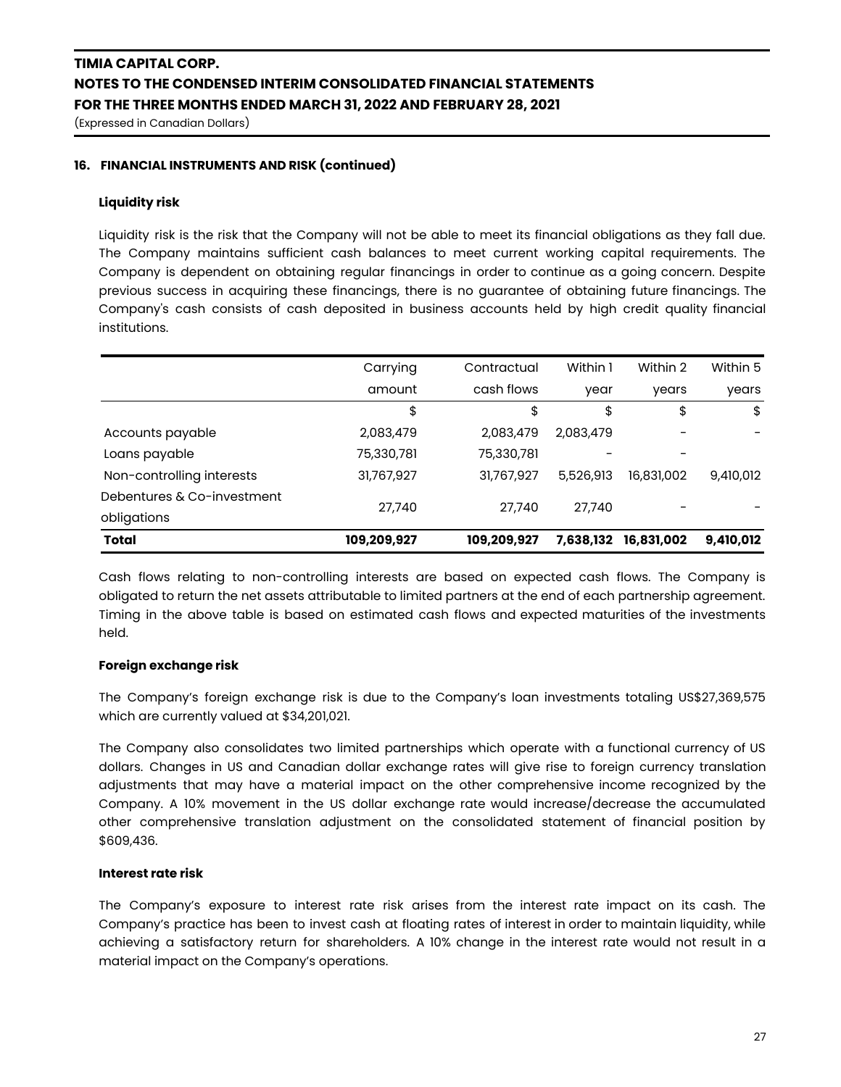(Expressed in Canadian Dollars)

### **16. FINANCIAL INSTRUMENTS AND RISK (continued)**

#### **Liquidity risk**

Liquidity risk is the risk that the Company will not be able to meet its financial obligations as they fall due. The Company maintains sufficient cash balances to meet current working capital requirements. The Company is dependent on obtaining regular financings in order to continue as a going concern. Despite previous success in acquiring these financings, there is no guarantee of obtaining future financings. The Company's cash consists of cash deposited in business accounts held by high credit quality financial institutions.

| <b>Total</b>               | 109,209,927 | 109,209,927 | 7,638,132 | 16,831,002 | 9,410,012 |
|----------------------------|-------------|-------------|-----------|------------|-----------|
| obligations                |             |             |           |            |           |
| Debentures & Co-investment | 27,740      | 27,740      | 27,740    |            |           |
| Non-controlling interests  | 31,767,927  | 31,767,927  | 5,526,913 | 16,831,002 | 9,410,012 |
| Loans payable              | 75,330,781  | 75,330,781  |           |            |           |
| Accounts payable           | 2,083,479   | 2,083,479   | 2,083,479 |            |           |
|                            | \$          | \$          | \$        | \$         | \$        |
|                            | amount      | cash flows  | year      | years      | years     |
|                            | Carrying    | Contractual | Within 1  | Within 2   | Within 5  |

Cash flows relating to non-controlling interests are based on expected cash flows. The Company is obligated to return the net assets attributable to limited partners at the end of each partnership agreement. Timing in the above table is based on estimated cash flows and expected maturities of the investments held.

#### **Foreign exchange risk**

The Company's foreign exchange risk is due to the Company's loan investments totaling US\$27,369,575 which are currently valued at \$34,201,021.

The Company also consolidates two limited partnerships which operate with a functional currency of US dollars. Changes in US and Canadian dollar exchange rates will give rise to foreign currency translation adjustments that may have a material impact on the other comprehensive income recognized by the Company. A 10% movement in the US dollar exchange rate would increase/decrease the accumulated other comprehensive translation adjustment on the consolidated statement of financial position by \$609,436.

#### **Interest rate risk**

The Company's exposure to interest rate risk arises from the interest rate impact on its cash. The Company's practice has been to invest cash at floating rates of interest in order to maintain liquidity, while achieving a satisfactory return for shareholders. A 10% change in the interest rate would not result in a material impact on the Company's operations.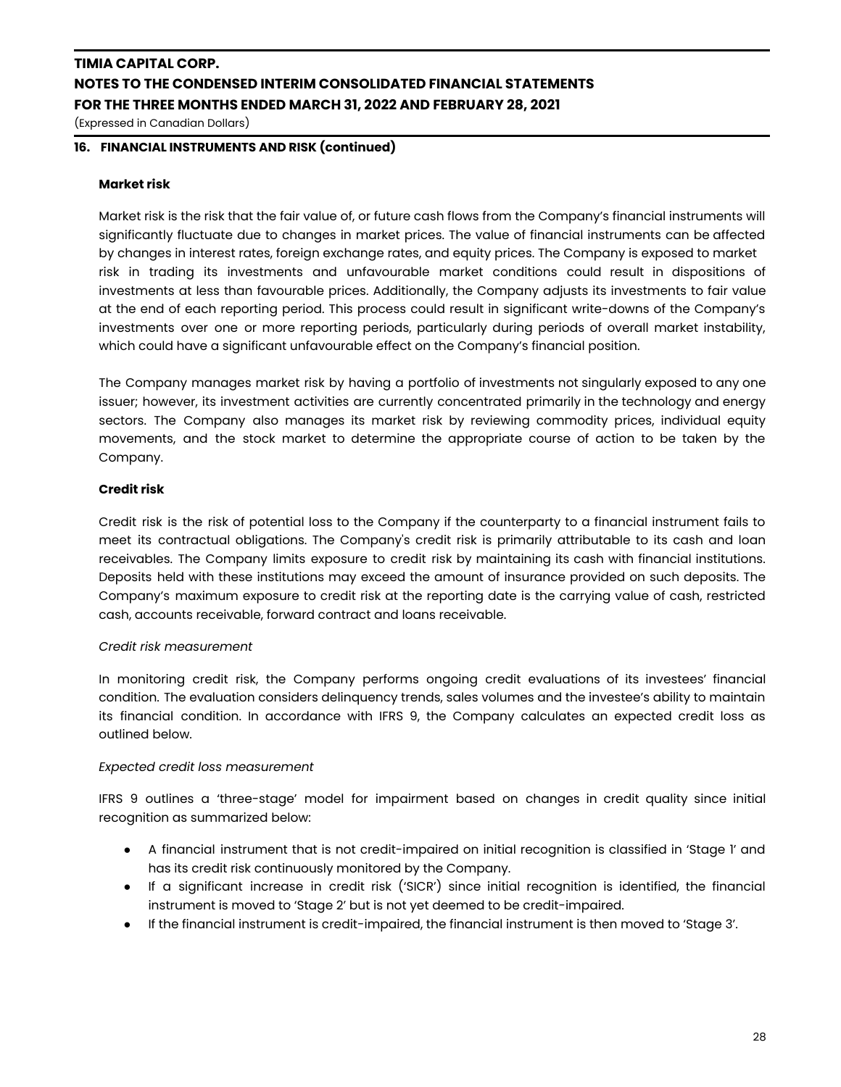(Expressed in Canadian Dollars)

### **16. FINANCIAL INSTRUMENTS AND RISK (continued)**

### **Market risk**

Market risk is the risk that the fair value of, or future cash flows from the Company's financial instruments will significantly fluctuate due to changes in market prices. The value of financial instruments can be affected by changes in interest rates, foreign exchange rates, and equity prices. The Company is exposed to market risk in trading its investments and unfavourable market conditions could result in dispositions of investments at less than favourable prices. Additionally, the Company adjusts its investments to fair value at the end of each reporting period. This process could result in significant write-downs of the Company's investments over one or more reporting periods, particularly during periods of overall market instability, which could have a significant unfavourable effect on the Company's financial position.

The Company manages market risk by having a portfolio of investments not singularly exposed to any one issuer; however, its investment activities are currently concentrated primarily in the technology and energy sectors. The Company also manages its market risk by reviewing commodity prices, individual equity movements, and the stock market to determine the appropriate course of action to be taken by the Company.

### **Credit risk**

Credit risk is the risk of potential loss to the Company if the counterparty to a financial instrument fails to meet its contractual obligations. The Company's credit risk is primarily attributable to its cash and loan receivables. The Company limits exposure to credit risk by maintaining its cash with financial institutions. Deposits held with these institutions may exceed the amount of insurance provided on such deposits. The Company's maximum exposure to credit risk at the reporting date is the carrying value of cash, restricted cash, accounts receivable, forward contract and loans receivable.

### *Credit risk measurement*

In monitoring credit risk, the Company performs ongoing credit evaluations of its investees' financial condition. The evaluation considers delinquency trends, sales volumes and the investee's ability to maintain its financial condition. In accordance with IFRS 9, the Company calculates an expected credit loss as outlined below.

### *Expected credit loss measurement*

IFRS 9 outlines a 'three-stage' model for impairment based on changes in credit quality since initial recognition as summarized below:

- A financial instrument that is not credit-impaired on initial recognition is classified in 'Stage 1' and has its credit risk continuously monitored by the Company.
- If a significant increase in credit risk ('SICR') since initial recognition is identified, the financial instrument is moved to 'Stage 2' but is not yet deemed to be credit-impaired.
- If the financial instrument is credit-impaired, the financial instrument is then moved to 'Stage 3'.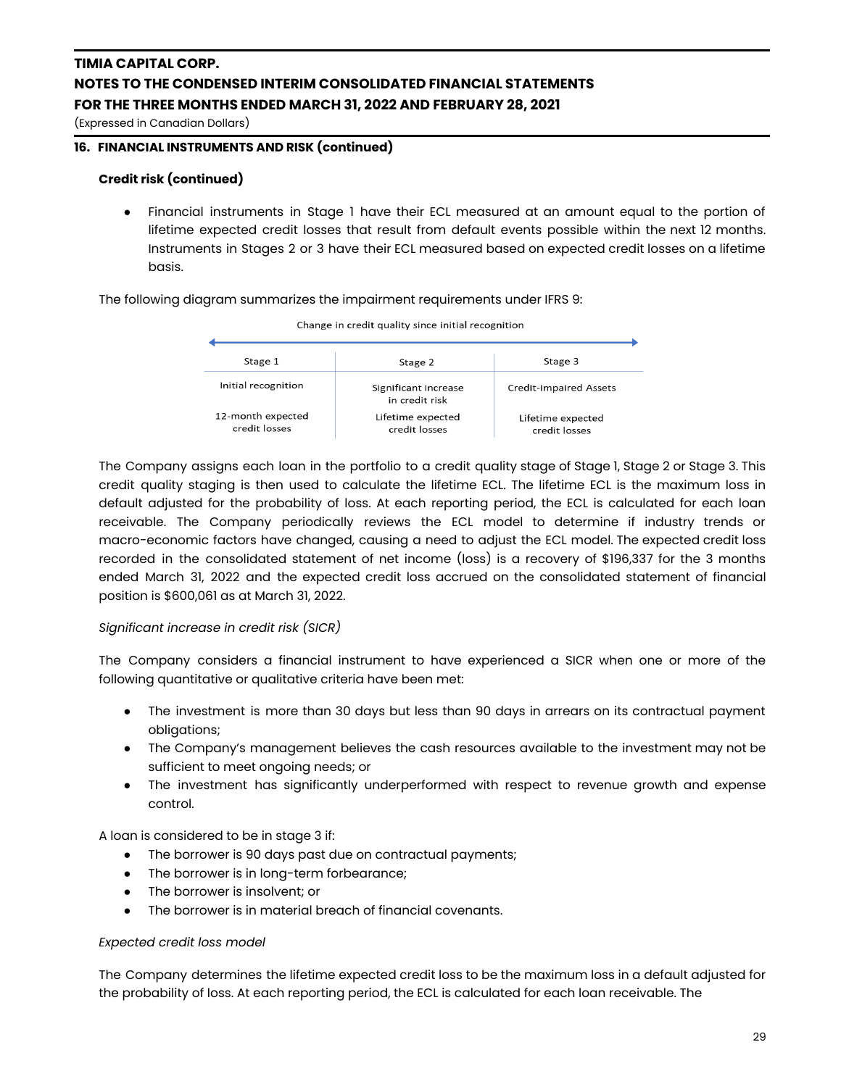(Expressed in Canadian Dollars)

### **16. FINANCIAL INSTRUMENTS AND RISK (continued)**

### **Credit risk (continued)**

● Financial instruments in Stage 1 have their ECL measured at an amount equal to the portion of lifetime expected credit losses that result from default events possible within the next 12 months. Instruments in Stages 2 or 3 have their ECL measured based on expected credit losses on a lifetime basis.

The following diagram summarizes the impairment requirements under IFRS 9:



Change in credit quality since initial recognition

The Company assigns each loan in the portfolio to a credit quality stage of Stage 1, Stage 2 or Stage 3. This credit quality staging is then used to calculate the lifetime ECL. The lifetime ECL is the maximum loss in default adjusted for the probability of loss. At each reporting period, the ECL is calculated for each loan receivable. The Company periodically reviews the ECL model to determine if industry trends or macro-economic factors have changed, causing a need to adjust the ECL model. The expected credit loss recorded in the consolidated statement of net income (loss) is a recovery of \$196,337 for the 3 months ended March 31, 2022 and the expected credit loss accrued on the consolidated statement of financial position is \$600,061 as at March 31, 2022.

### *Significant increase in credit risk (SICR)*

The Company considers a financial instrument to have experienced a SICR when one or more of the following quantitative or qualitative criteria have been met:

- The investment is more than 30 days but less than 90 days in arrears on its contractual payment obligations;
- The Company's management believes the cash resources available to the investment may not be sufficient to meet ongoing needs; or
- *●* The investment has significantly underperformed with respect to revenue growth and expense control.

A loan is considered to be in stage 3 if:

- The borrower is 90 days past due on contractual payments;
- The borrower is in long-term forbearance;
- The borrower is insolvent; or
- The borrower is in material breach of financial covenants.

### *Expected credit loss model*

The Company determines the lifetime expected credit loss to be the maximum loss in a default adjusted for the probability of loss. At each reporting period, the ECL is calculated for each loan receivable. The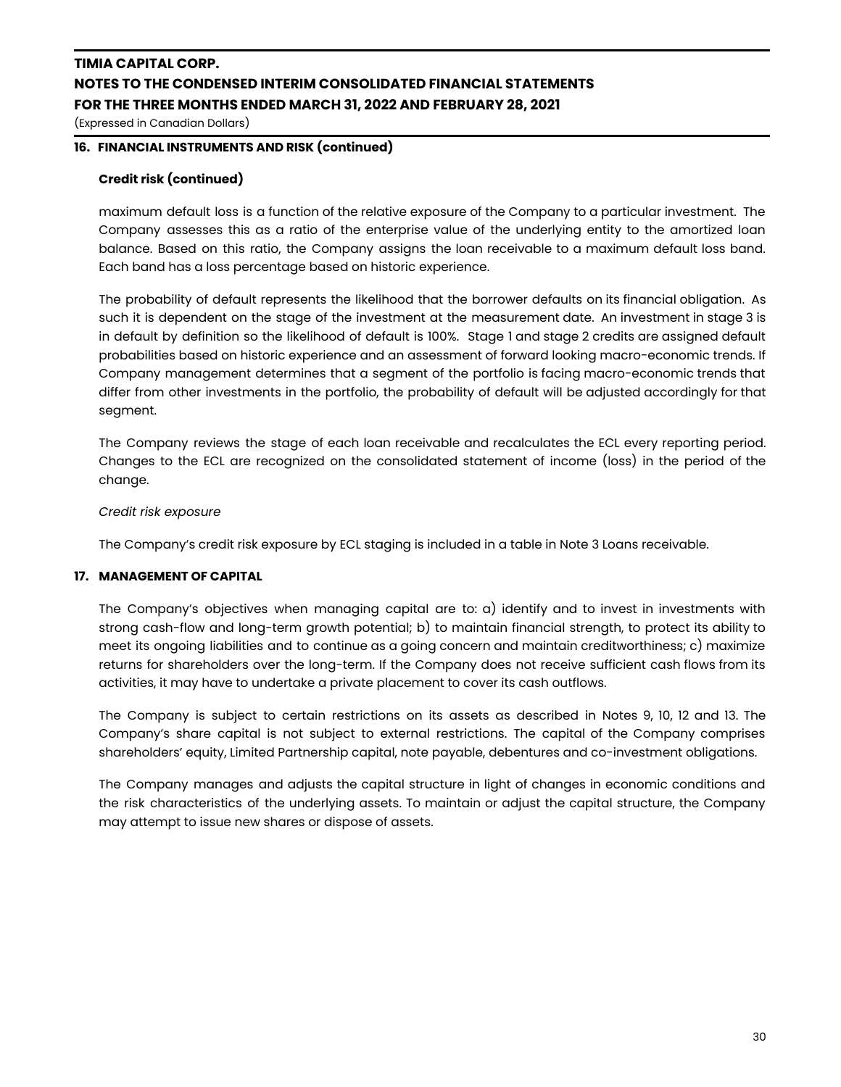(Expressed in Canadian Dollars)

### **16. FINANCIAL INSTRUMENTS AND RISK (continued)**

### **Credit risk (continued)**

maximum default loss is a function of the relative exposure of the Company to a particular investment. The Company assesses this as a ratio of the enterprise value of the underlying entity to the amortized loan balance. Based on this ratio, the Company assigns the loan receivable to a maximum default loss band. Each band has a loss percentage based on historic experience.

The probability of default represents the likelihood that the borrower defaults on its financial obligation. As such it is dependent on the stage of the investment at the measurement date. An investment in stage 3 is in default by definition so the likelihood of default is 100%. Stage 1 and stage 2 credits are assigned default probabilities based on historic experience and an assessment of forward looking macro-economic trends. If Company management determines that a segment of the portfolio is facing macro-economic trends that differ from other investments in the portfolio, the probability of default will be adjusted accordingly for that segment.

The Company reviews the stage of each loan receivable and recalculates the ECL every reporting period. Changes to the ECL are recognized on the consolidated statement of income (loss) in the period of the change.

#### *Credit risk exposure*

The Company's credit risk exposure by ECL staging is included in a table in Note 3 Loans receivable.

### **17. MANAGEMENT OF CAPITAL**

The Company's objectives when managing capital are to: a) identify and to invest in investments with strong cash-flow and long-term growth potential; b) to maintain financial strength, to protect its ability to meet its ongoing liabilities and to continue as a going concern and maintain creditworthiness; c) maximize returns for shareholders over the long-term. If the Company does not receive sufficient cash flows from its activities, it may have to undertake a private placement to cover its cash outflows.

The Company is subject to certain restrictions on its assets as described in Notes 9, 10, 12 and 13. The Company's share capital is not subject to external restrictions. The capital of the Company comprises shareholders' equity, Limited Partnership capital, note payable, debentures and co-investment obligations.

The Company manages and adjusts the capital structure in light of changes in economic conditions and the risk characteristics of the underlying assets. To maintain or adjust the capital structure, the Company may attempt to issue new shares or dispose of assets.